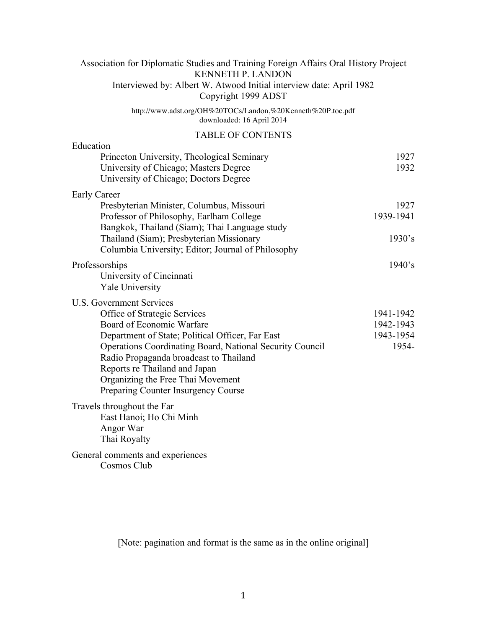| Association for Diplomatic Studies and Training Foreign Affairs Oral History Project<br><b>KENNETH P. LANDON</b>                                                                                                                                                    |                    |
|---------------------------------------------------------------------------------------------------------------------------------------------------------------------------------------------------------------------------------------------------------------------|--------------------|
| Interviewed by: Albert W. Atwood Initial interview date: April 1982<br>Copyright 1999 ADST                                                                                                                                                                          |                    |
| http://www.adst.org/OH%20TOCs/Landon,%20Kenneth%20P.toc.pdf<br>downloaded: 16 April 2014                                                                                                                                                                            |                    |
| <b>TABLE OF CONTENTS</b>                                                                                                                                                                                                                                            |                    |
| Education                                                                                                                                                                                                                                                           |                    |
| Princeton University, Theological Seminary<br>University of Chicago; Masters Degree<br>University of Chicago; Doctors Degree                                                                                                                                        | 1927<br>1932       |
| <b>Early Career</b>                                                                                                                                                                                                                                                 |                    |
| Presbyterian Minister, Columbus, Missouri                                                                                                                                                                                                                           | 1927               |
| Professor of Philosophy, Earlham College                                                                                                                                                                                                                            | 1939-1941          |
| Bangkok, Thailand (Siam); Thai Language study<br>Thailand (Siam); Presbyterian Missionary<br>Columbia University; Editor; Journal of Philosophy                                                                                                                     | 1930's             |
| Professorships                                                                                                                                                                                                                                                      | 1940's             |
| University of Cincinnati<br><b>Yale University</b>                                                                                                                                                                                                                  |                    |
| <b>U.S. Government Services</b>                                                                                                                                                                                                                                     |                    |
| Office of Strategic Services                                                                                                                                                                                                                                        | 1941-1942          |
| Board of Economic Warfare                                                                                                                                                                                                                                           | 1942-1943          |
| Department of State; Political Officer, Far East<br>Operations Coordinating Board, National Security Council<br>Radio Propaganda broadcast to Thailand<br>Reports re Thailand and Japan<br>Organizing the Free Thai Movement<br>Preparing Counter Insurgency Course | 1943-1954<br>1954- |
| Travels throughout the Far<br>East Hanoi; Ho Chi Minh<br>Angor War<br>Thai Royalty                                                                                                                                                                                  |                    |
| General comments and experiences<br>Cosmos Club                                                                                                                                                                                                                     |                    |

[Note: pagination and format is the same as in the online original]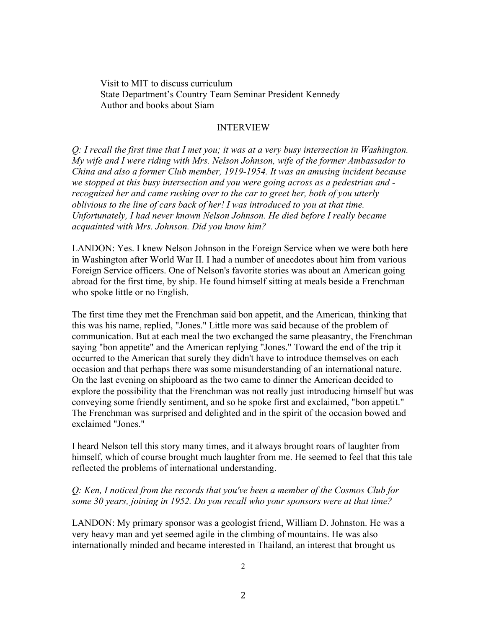Visit to MIT to discuss curriculum State Department's Country Team Seminar President Kennedy Author and books about Siam

#### INTERVIEW

*Q: I recall the first time that I met you; it was at a very busy intersection in Washington. My wife and I were riding with Mrs. Nelson Johnson, wife of the former Ambassador to China and also a former Club member, 1919-1954. It was an amusing incident because we stopped at this busy intersection and you were going across as a pedestrian and recognized her and came rushing over to the car to greet her, both of you utterly oblivious to the line of cars back of her! I was introduced to you at that time. Unfortunately, I had never known Nelson Johnson. He died before I really became acquainted with Mrs. Johnson. Did you know him?* 

LANDON: Yes. I knew Nelson Johnson in the Foreign Service when we were both here in Washington after World War II. I had a number of anecdotes about him from various Foreign Service officers. One of Nelson's favorite stories was about an American going abroad for the first time, by ship. He found himself sitting at meals beside a Frenchman who spoke little or no English.

The first time they met the Frenchman said bon appetit, and the American, thinking that this was his name, replied, "Jones." Little more was said because of the problem of communication. But at each meal the two exchanged the same pleasantry, the Frenchman saying "bon appetite" and the American replying "Jones." Toward the end of the trip it occurred to the American that surely they didn't have to introduce themselves on each occasion and that perhaps there was some misunderstanding of an international nature. On the last evening on shipboard as the two came to dinner the American decided to explore the possibility that the Frenchman was not really just introducing himself but was conveying some friendly sentiment, and so he spoke first and exclaimed, "bon appetit." The Frenchman was surprised and delighted and in the spirit of the occasion bowed and exclaimed "Jones."

I heard Nelson tell this story many times, and it always brought roars of laughter from himself, which of course brought much laughter from me. He seemed to feel that this tale reflected the problems of international understanding.

#### *Q: Ken, I noticed from the records that you've been a member of the Cosmos Club for some 30 years, joining in 1952. Do you recall who your sponsors were at that time?*

LANDON: My primary sponsor was a geologist friend, William D. Johnston. He was a very heavy man and yet seemed agile in the climbing of mountains. He was also internationally minded and became interested in Thailand, an interest that brought us

2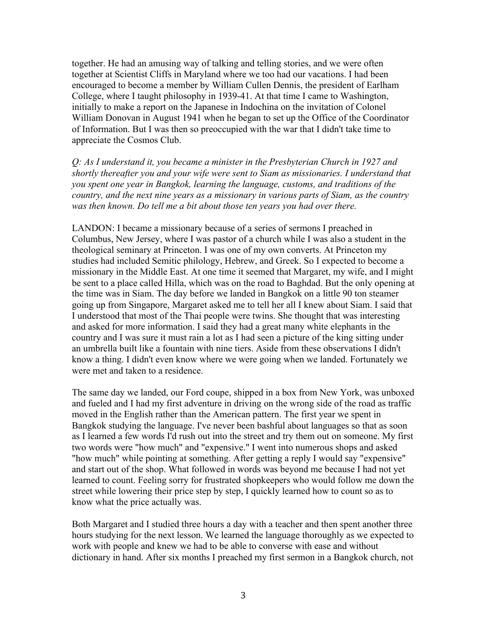together. He had an amusing way of talking and telling stories, and we were often together at Scientist Cliffs in Maryland where we too had our vacations. I had been encouraged to become a member by William Cullen Dennis, the president of Earlham College, where I taught philosophy in 1939-41. At that time I came to Washington, initially to make a report on the Japanese in Indochina on the invitation of Colonel William Donovan in August 1941 when he began to set up the Office of the Coordinator of Information. But I was then so preoccupied with the war that I didn't take time to appreciate the Cosmos Club.

*Q: As I understand it, you became a minister in the Presbyterian Church in 1927 and shortly thereafter you and your wife were sent to Siam as missionaries. I understand that you spent one year in Bangkok, learning the language, customs, and traditions of the country, and the next nine years as a missionary in various parts of Siam, as the country was then known. Do tell me a bit about those ten years you had over there.* 

LANDON: I became a missionary because of a series of sermons I preached in Columbus, New Jersey, where I was pastor of a church while I was also a student in the theological seminary at Princeton. I was one of my own converts. At Princeton my studies had included Semitic philology, Hebrew, and Greek. So I expected to become a missionary in the Middle East. At one time it seemed that Margaret, my wife, and I might be sent to a place called Hilla, which was on the road to Baghdad. But the only opening at the time was in Siam. The day before we landed in Bangkok on a little 90 ton steamer going up from Singapore, Margaret asked me to tell her all I knew about Siam. I said that I understood that most of the Thai people were twins. She thought that was interesting and asked for more information. I said they had a great many white elephants in the country and I was sure it must rain a lot as I had seen a picture of the king sitting under an umbrella built like a fountain with nine tiers. Aside from these observations I didn't know a thing. I didn't even know where we were going when we landed. Fortunately we were met and taken to a residence.

The same day we landed, our Ford coupe, shipped in a box from New York, was unboxed and fueled and I had my first adventure in driving on the wrong side of the road as traffic moved in the English rather than the American pattern. The first year we spent in Bangkok studying the language. I've never been bashful about languages so that as soon as I learned a few words I'd rush out into the street and try them out on someone. My first two words were "how much" and "expensive." I went into numerous shops and asked "how much" while pointing at something. After getting a reply I would say "expensive" and start out of the shop. What followed in words was beyond me because I had not yet learned to count. Feeling sorry for frustrated shopkeepers who would follow me down the street while lowering their price step by step, I quickly learned how to count so as to know what the price actually was.

Both Margaret and I studied three hours a day with a teacher and then spent another three hours studying for the next lesson. We learned the language thoroughly as we expected to work with people and knew we had to be able to converse with ease and without dictionary in hand. After six months I preached my first sermon in a Bangkok church, not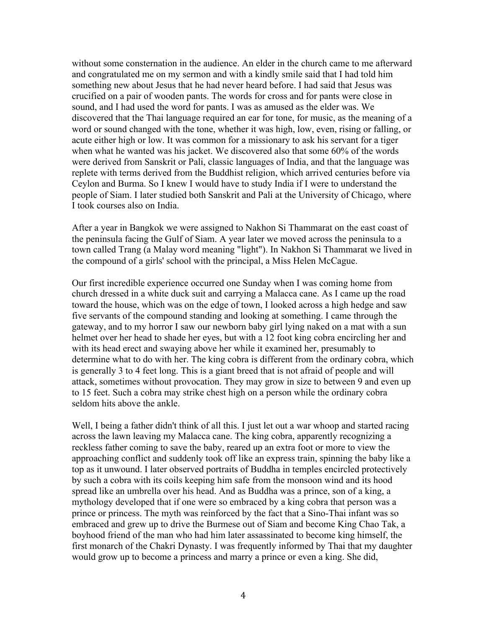without some consternation in the audience. An elder in the church came to me afterward and congratulated me on my sermon and with a kindly smile said that I had told him something new about Jesus that he had never heard before. I had said that Jesus was crucified on a pair of wooden pants. The words for cross and for pants were close in sound, and I had used the word for pants. I was as amused as the elder was. We discovered that the Thai language required an ear for tone, for music, as the meaning of a word or sound changed with the tone, whether it was high, low, even, rising or falling, or acute either high or low. It was common for a missionary to ask his servant for a tiger when what he wanted was his jacket. We discovered also that some 60% of the words were derived from Sanskrit or Pali, classic languages of India, and that the language was replete with terms derived from the Buddhist religion, which arrived centuries before via Ceylon and Burma. So I knew I would have to study India if I were to understand the people of Siam. I later studied both Sanskrit and Pali at the University of Chicago, where I took courses also on India.

After a year in Bangkok we were assigned to Nakhon Si Thammarat on the east coast of the peninsula facing the Gulf of Siam. A year later we moved across the peninsula to a town called Trang (a Malay word meaning "light"). In Nakhon Si Thammarat we lived in the compound of a girls' school with the principal, a Miss Helen McCague.

Our first incredible experience occurred one Sunday when I was coming home from church dressed in a white duck suit and carrying a Malacca cane. As I came up the road toward the house, which was on the edge of town, I looked across a high hedge and saw five servants of the compound standing and looking at something. I came through the gateway, and to my horror I saw our newborn baby girl lying naked on a mat with a sun helmet over her head to shade her eyes, but with a 12 foot king cobra encircling her and with its head erect and swaying above her while it examined her, presumably to determine what to do with her. The king cobra is different from the ordinary cobra, which is generally 3 to 4 feet long. This is a giant breed that is not afraid of people and will attack, sometimes without provocation. They may grow in size to between 9 and even up to 15 feet. Such a cobra may strike chest high on a person while the ordinary cobra seldom hits above the ankle.

Well, I being a father didn't think of all this. I just let out a war whoop and started racing across the lawn leaving my Malacca cane. The king cobra, apparently recognizing a reckless father coming to save the baby, reared up an extra foot or more to view the approaching conflict and suddenly took off like an express train, spinning the baby like a top as it unwound. I later observed portraits of Buddha in temples encircled protectively by such a cobra with its coils keeping him safe from the monsoon wind and its hood spread like an umbrella over his head. And as Buddha was a prince, son of a king, a mythology developed that if one were so embraced by a king cobra that person was a prince or princess. The myth was reinforced by the fact that a Sino-Thai infant was so embraced and grew up to drive the Burmese out of Siam and become King Chao Tak, a boyhood friend of the man who had him later assassinated to become king himself, the first monarch of the Chakri Dynasty. I was frequently informed by Thai that my daughter would grow up to become a princess and marry a prince or even a king. She did,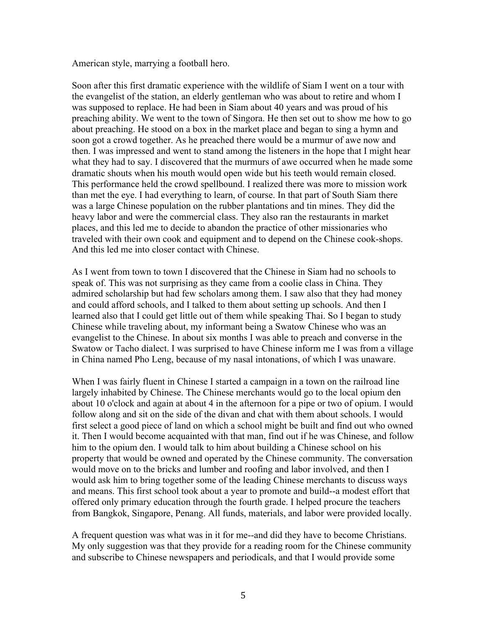American style, marrying a football hero.

Soon after this first dramatic experience with the wildlife of Siam I went on a tour with the evangelist of the station, an elderly gentleman who was about to retire and whom I was supposed to replace. He had been in Siam about 40 years and was proud of his preaching ability. We went to the town of Singora. He then set out to show me how to go about preaching. He stood on a box in the market place and began to sing a hymn and soon got a crowd together. As he preached there would be a murmur of awe now and then. I was impressed and went to stand among the listeners in the hope that I might hear what they had to say. I discovered that the murmurs of awe occurred when he made some dramatic shouts when his mouth would open wide but his teeth would remain closed. This performance held the crowd spellbound. I realized there was more to mission work than met the eye. I had everything to learn, of course. In that part of South Siam there was a large Chinese population on the rubber plantations and tin mines. They did the heavy labor and were the commercial class. They also ran the restaurants in market places, and this led me to decide to abandon the practice of other missionaries who traveled with their own cook and equipment and to depend on the Chinese cook-shops. And this led me into closer contact with Chinese.

As I went from town to town I discovered that the Chinese in Siam had no schools to speak of. This was not surprising as they came from a coolie class in China. They admired scholarship but had few scholars among them. I saw also that they had money and could afford schools, and I talked to them about setting up schools. And then I learned also that I could get little out of them while speaking Thai. So I began to study Chinese while traveling about, my informant being a Swatow Chinese who was an evangelist to the Chinese. In about six months I was able to preach and converse in the Swatow or Tacho dialect. I was surprised to have Chinese inform me I was from a village in China named Pho Leng, because of my nasal intonations, of which I was unaware.

When I was fairly fluent in Chinese I started a campaign in a town on the railroad line largely inhabited by Chinese. The Chinese merchants would go to the local opium den about 10 o'clock and again at about 4 in the afternoon for a pipe or two of opium. I would follow along and sit on the side of the divan and chat with them about schools. I would first select a good piece of land on which a school might be built and find out who owned it. Then I would become acquainted with that man, find out if he was Chinese, and follow him to the opium den. I would talk to him about building a Chinese school on his property that would be owned and operated by the Chinese community. The conversation would move on to the bricks and lumber and roofing and labor involved, and then I would ask him to bring together some of the leading Chinese merchants to discuss ways and means. This first school took about a year to promote and build--a modest effort that offered only primary education through the fourth grade. I helped procure the teachers from Bangkok, Singapore, Penang. All funds, materials, and labor were provided locally.

A frequent question was what was in it for me--and did they have to become Christians. My only suggestion was that they provide for a reading room for the Chinese community and subscribe to Chinese newspapers and periodicals, and that I would provide some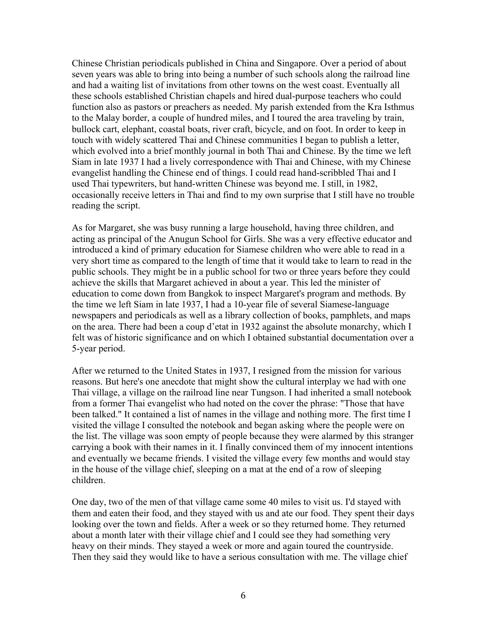Chinese Christian periodicals published in China and Singapore. Over a period of about seven years was able to bring into being a number of such schools along the railroad line and had a waiting list of invitations from other towns on the west coast. Eventually all these schools established Christian chapels and hired dual-purpose teachers who could function also as pastors or preachers as needed. My parish extended from the Kra Isthmus to the Malay border, a couple of hundred miles, and I toured the area traveling by train, bullock cart, elephant, coastal boats, river craft, bicycle, and on foot. In order to keep in touch with widely scattered Thai and Chinese communities I began to publish a letter, which evolved into a brief monthly journal in both Thai and Chinese. By the time we left Siam in late 1937 I had a lively correspondence with Thai and Chinese, with my Chinese evangelist handling the Chinese end of things. I could read hand-scribbled Thai and I used Thai typewriters, but hand-written Chinese was beyond me. I still, in 1982, occasionally receive letters in Thai and find to my own surprise that I still have no trouble reading the script.

As for Margaret, she was busy running a large household, having three children, and acting as principal of the Anugun School for Girls. She was a very effective educator and introduced a kind of primary education for Siamese children who were able to read in a very short time as compared to the length of time that it would take to learn to read in the public schools. They might be in a public school for two or three years before they could achieve the skills that Margaret achieved in about a year. This led the minister of education to come down from Bangkok to inspect Margaret's program and methods. By the time we left Siam in late 1937, I had a 10-year file of several Siamese-language newspapers and periodicals as well as a library collection of books, pamphlets, and maps on the area. There had been a coup d'etat in 1932 against the absolute monarchy, which I felt was of historic significance and on which I obtained substantial documentation over a 5-year period.

After we returned to the United States in 1937, I resigned from the mission for various reasons. But here's one anecdote that might show the cultural interplay we had with one Thai village, a village on the railroad line near Tungson. I had inherited a small notebook from a former Thai evangelist who had noted on the cover the phrase: "Those that have been talked." It contained a list of names in the village and nothing more. The first time I visited the village I consulted the notebook and began asking where the people were on the list. The village was soon empty of people because they were alarmed by this stranger carrying a book with their names in it. I finally convinced them of my innocent intentions and eventually we became friends. I visited the village every few months and would stay in the house of the village chief, sleeping on a mat at the end of a row of sleeping children.

One day, two of the men of that village came some 40 miles to visit us. I'd stayed with them and eaten their food, and they stayed with us and ate our food. They spent their days looking over the town and fields. After a week or so they returned home. They returned about a month later with their village chief and I could see they had something very heavy on their minds. They stayed a week or more and again toured the countryside. Then they said they would like to have a serious consultation with me. The village chief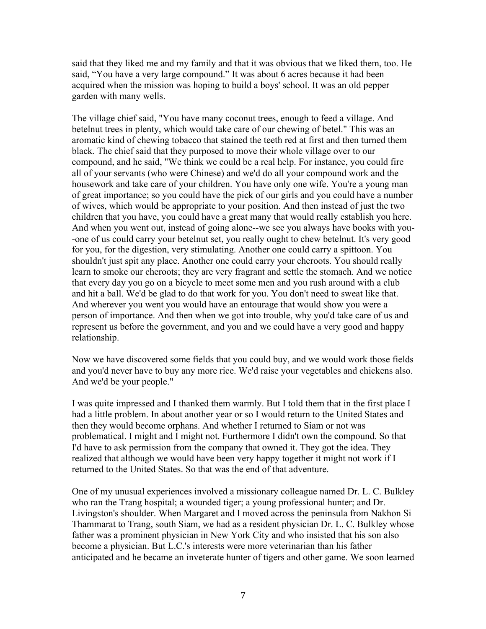said that they liked me and my family and that it was obvious that we liked them, too. He said, "You have a very large compound." It was about 6 acres because it had been acquired when the mission was hoping to build a boys' school. It was an old pepper garden with many wells.

The village chief said, "You have many coconut trees, enough to feed a village. And betelnut trees in plenty, which would take care of our chewing of betel." This was an aromatic kind of chewing tobacco that stained the teeth red at first and then turned them black. The chief said that they purposed to move their whole village over to our compound, and he said, "We think we could be a real help. For instance, you could fire all of your servants (who were Chinese) and we'd do all your compound work and the housework and take care of your children. You have only one wife. You're a young man of great importance; so you could have the pick of our girls and you could have a number of wives, which would be appropriate to your position. And then instead of just the two children that you have, you could have a great many that would really establish you here. And when you went out, instead of going alone--we see you always have books with you- -one of us could carry your betelnut set, you really ought to chew betelnut. It's very good for you, for the digestion, very stimulating. Another one could carry a spittoon. You shouldn't just spit any place. Another one could carry your cheroots. You should really learn to smoke our cheroots; they are very fragrant and settle the stomach. And we notice that every day you go on a bicycle to meet some men and you rush around with a club and hit a ball. We'd be glad to do that work for you. You don't need to sweat like that. And wherever you went you would have an entourage that would show you were a person of importance. And then when we got into trouble, why you'd take care of us and represent us before the government, and you and we could have a very good and happy relationship.

Now we have discovered some fields that you could buy, and we would work those fields and you'd never have to buy any more rice. We'd raise your vegetables and chickens also. And we'd be your people."

I was quite impressed and I thanked them warmly. But I told them that in the first place I had a little problem. In about another year or so I would return to the United States and then they would become orphans. And whether I returned to Siam or not was problematical. I might and I might not. Furthermore I didn't own the compound. So that I'd have to ask permission from the company that owned it. They got the idea. They realized that although we would have been very happy together it might not work if I returned to the United States. So that was the end of that adventure.

One of my unusual experiences involved a missionary colleague named Dr. L. C. Bulkley who ran the Trang hospital; a wounded tiger; a young professional hunter; and Dr. Livingston's shoulder. When Margaret and I moved across the peninsula from Nakhon Si Thammarat to Trang, south Siam, we had as a resident physician Dr. L. C. Bulkley whose father was a prominent physician in New York City and who insisted that his son also become a physician. But L.C.'s interests were more veterinarian than his father anticipated and he became an inveterate hunter of tigers and other game. We soon learned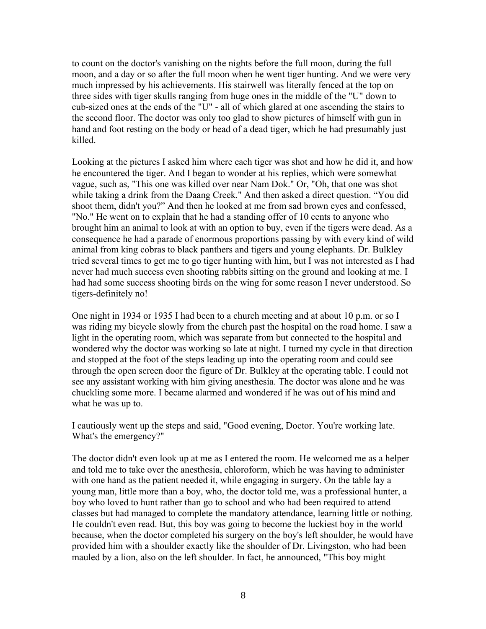to count on the doctor's vanishing on the nights before the full moon, during the full moon, and a day or so after the full moon when he went tiger hunting. And we were very much impressed by his achievements. His stairwell was literally fenced at the top on three sides with tiger skulls ranging from huge ones in the middle of the "U" down to cub-sized ones at the ends of the "U" - all of which glared at one ascending the stairs to the second floor. The doctor was only too glad to show pictures of himself with gun in hand and foot resting on the body or head of a dead tiger, which he had presumably just killed.

Looking at the pictures I asked him where each tiger was shot and how he did it, and how he encountered the tiger. And I began to wonder at his replies, which were somewhat vague, such as, "This one was killed over near Nam Dok." Or, "Oh, that one was shot while taking a drink from the Daang Creek." And then asked a direct question. "You did shoot them, didn't you?" And then he looked at me from sad brown eyes and confessed, "No." He went on to explain that he had a standing offer of 10 cents to anyone who brought him an animal to look at with an option to buy, even if the tigers were dead. As a consequence he had a parade of enormous proportions passing by with every kind of wild animal from king cobras to black panthers and tigers and young elephants. Dr. Bulkley tried several times to get me to go tiger hunting with him, but I was not interested as I had never had much success even shooting rabbits sitting on the ground and looking at me. I had had some success shooting birds on the wing for some reason I never understood. So tigers-definitely no!

One night in 1934 or 1935 I had been to a church meeting and at about 10 p.m. or so I was riding my bicycle slowly from the church past the hospital on the road home. I saw a light in the operating room, which was separate from but connected to the hospital and wondered why the doctor was working so late at night. I turned my cycle in that direction and stopped at the foot of the steps leading up into the operating room and could see through the open screen door the figure of Dr. Bulkley at the operating table. I could not see any assistant working with him giving anesthesia. The doctor was alone and he was chuckling some more. I became alarmed and wondered if he was out of his mind and what he was up to.

I cautiously went up the steps and said, "Good evening, Doctor. You're working late. What's the emergency?"

The doctor didn't even look up at me as I entered the room. He welcomed me as a helper and told me to take over the anesthesia, chloroform, which he was having to administer with one hand as the patient needed it, while engaging in surgery. On the table lay a young man, little more than a boy, who, the doctor told me, was a professional hunter, a boy who loved to hunt rather than go to school and who had been required to attend classes but had managed to complete the mandatory attendance, learning little or nothing. He couldn't even read. But, this boy was going to become the luckiest boy in the world because, when the doctor completed his surgery on the boy's left shoulder, he would have provided him with a shoulder exactly like the shoulder of Dr. Livingston, who had been mauled by a lion, also on the left shoulder. In fact, he announced, "This boy might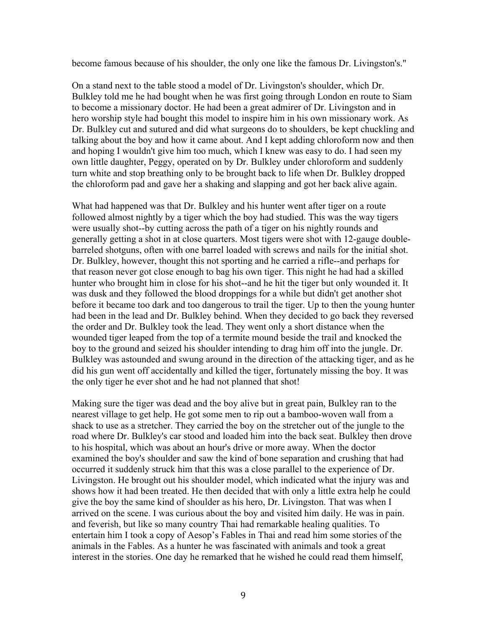become famous because of his shoulder, the only one like the famous Dr. Livingston's."

On a stand next to the table stood a model of Dr. Livingston's shoulder, which Dr. Bulkley told me he had bought when he was first going through London en route to Siam to become a missionary doctor. He had been a great admirer of Dr. Livingston and in hero worship style had bought this model to inspire him in his own missionary work. As Dr. Bulkley cut and sutured and did what surgeons do to shoulders, be kept chuckling and talking about the boy and how it came about. And I kept adding chloroform now and then and hoping I wouldn't give him too much, which I knew was easy to do. I had seen my own little daughter, Peggy, operated on by Dr. Bulkley under chloroform and suddenly turn white and stop breathing only to be brought back to life when Dr. Bulkley dropped the chloroform pad and gave her a shaking and slapping and got her back alive again.

What had happened was that Dr. Bulkley and his hunter went after tiger on a route followed almost nightly by a tiger which the boy had studied. This was the way tigers were usually shot--by cutting across the path of a tiger on his nightly rounds and generally getting a shot in at close quarters. Most tigers were shot with 12-gauge doublebarreled shotguns, often with one barrel loaded with screws and nails for the initial shot. Dr. Bulkley, however, thought this not sporting and he carried a rifle--and perhaps for that reason never got close enough to bag his own tiger. This night he had had a skilled hunter who brought him in close for his shot--and he hit the tiger but only wounded it. It was dusk and they followed the blood droppings for a while but didn't get another shot before it became too dark and too dangerous to trail the tiger. Up to then the young hunter had been in the lead and Dr. Bulkley behind. When they decided to go back they reversed the order and Dr. Bulkley took the lead. They went only a short distance when the wounded tiger leaped from the top of a termite mound beside the trail and knocked the boy to the ground and seized his shoulder intending to drag him off into the jungle. Dr. Bulkley was astounded and swung around in the direction of the attacking tiger, and as he did his gun went off accidentally and killed the tiger, fortunately missing the boy. It was the only tiger he ever shot and he had not planned that shot!

Making sure the tiger was dead and the boy alive but in great pain, Bulkley ran to the nearest village to get help. He got some men to rip out a bamboo-woven wall from a shack to use as a stretcher. They carried the boy on the stretcher out of the jungle to the road where Dr. Bulkley's car stood and loaded him into the back seat. Bulkley then drove to his hospital, which was about an hour's drive or more away. When the doctor examined the boy's shoulder and saw the kind of bone separation and crushing that had occurred it suddenly struck him that this was a close parallel to the experience of Dr. Livingston. He brought out his shoulder model, which indicated what the injury was and shows how it had been treated. He then decided that with only a little extra help he could give the boy the same kind of shoulder as his hero, Dr. Livingston. That was when I arrived on the scene. I was curious about the boy and visited him daily. He was in pain. and feverish, but like so many country Thai had remarkable healing qualities. To entertain him I took a copy of Aesop's Fables in Thai and read him some stories of the animals in the Fables. As a hunter he was fascinated with animals and took a great interest in the stories. One day he remarked that he wished he could read them himself,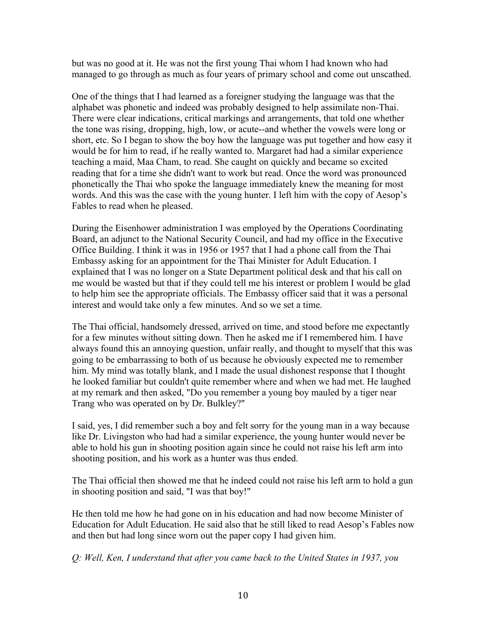but was no good at it. He was not the first young Thai whom I had known who had managed to go through as much as four years of primary school and come out unscathed.

One of the things that I had learned as a foreigner studying the language was that the alphabet was phonetic and indeed was probably designed to help assimilate non-Thai. There were clear indications, critical markings and arrangements, that told one whether the tone was rising, dropping, high, low, or acute--and whether the vowels were long or short, etc. So I began to show the boy how the language was put together and how easy it would be for him to read, if he really wanted to. Margaret had had a similar experience teaching a maid, Maa Cham, to read. She caught on quickly and became so excited reading that for a time she didn't want to work but read. Once the word was pronounced phonetically the Thai who spoke the language immediately knew the meaning for most words. And this was the case with the young hunter. I left him with the copy of Aesop's Fables to read when he pleased.

During the Eisenhower administration I was employed by the Operations Coordinating Board, an adjunct to the National Security Council, and had my office in the Executive Office Building. I think it was in 1956 or 1957 that I had a phone call from the Thai Embassy asking for an appointment for the Thai Minister for Adult Education. I explained that I was no longer on a State Department political desk and that his call on me would be wasted but that if they could tell me his interest or problem I would be glad to help him see the appropriate officials. The Embassy officer said that it was a personal interest and would take only a few minutes. And so we set a time.

The Thai official, handsomely dressed, arrived on time, and stood before me expectantly for a few minutes without sitting down. Then he asked me if I remembered him. I have always found this an annoying question, unfair really, and thought to myself that this was going to be embarrassing to both of us because he obviously expected me to remember him. My mind was totally blank, and I made the usual dishonest response that I thought he looked familiar but couldn't quite remember where and when we had met. He laughed at my remark and then asked, "Do you remember a young boy mauled by a tiger near Trang who was operated on by Dr. Bulkley?"

I said, yes, I did remember such a boy and felt sorry for the young man in a way because like Dr. Livingston who had had a similar experience, the young hunter would never be able to hold his gun in shooting position again since he could not raise his left arm into shooting position, and his work as a hunter was thus ended.

The Thai official then showed me that he indeed could not raise his left arm to hold a gun in shooting position and said, "I was that boy!"

He then told me how he had gone on in his education and had now become Minister of Education for Adult Education. He said also that he still liked to read Aesop's Fables now and then but had long since worn out the paper copy I had given him.

# *Q: Well, Ken, I understand that after you came back to the United States in 1937, you*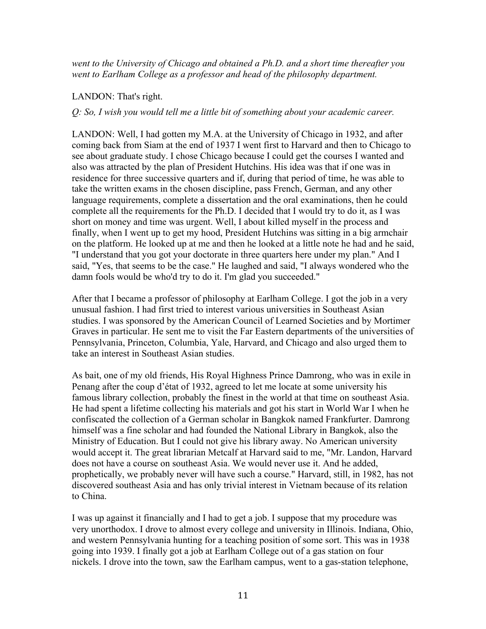*went to the University of Chicago and obtained a Ph.D. and a short time thereafter you went to Earlham College as a professor and head of the philosophy department.* 

# LANDON: That's right.

## *Q: So, I wish you would tell me a little bit of something about your academic career.*

LANDON: Well, I had gotten my M.A. at the University of Chicago in 1932, and after coming back from Siam at the end of 1937 I went first to Harvard and then to Chicago to see about graduate study. I chose Chicago because I could get the courses I wanted and also was attracted by the plan of President Hutchins. His idea was that if one was in residence for three successive quarters and if, during that period of time, he was able to take the written exams in the chosen discipline, pass French, German, and any other language requirements, complete a dissertation and the oral examinations, then he could complete all the requirements for the Ph.D. I decided that I would try to do it, as I was short on money and time was urgent. Well, I about killed myself in the process and finally, when I went up to get my hood, President Hutchins was sitting in a big armchair on the platform. He looked up at me and then he looked at a little note he had and he said, "I understand that you got your doctorate in three quarters here under my plan." And I said, "Yes, that seems to be the case." He laughed and said, "I always wondered who the damn fools would be who'd try to do it. I'm glad you succeeded."

After that I became a professor of philosophy at Earlham College. I got the job in a very unusual fashion. I had first tried to interest various universities in Southeast Asian studies. I was sponsored by the American Council of Learned Societies and by Mortimer Graves in particular. He sent me to visit the Far Eastern departments of the universities of Pennsylvania, Princeton, Columbia, Yale, Harvard, and Chicago and also urged them to take an interest in Southeast Asian studies.

As bait, one of my old friends, His Royal Highness Prince Damrong, who was in exile in Penang after the coup d'état of 1932, agreed to let me locate at some university his famous library collection, probably the finest in the world at that time on southeast Asia. He had spent a lifetime collecting his materials and got his start in World War I when he confiscated the collection of a German scholar in Bangkok named Frankfurter. Damrong himself was a fine scholar and had founded the National Library in Bangkok, also the Ministry of Education. But I could not give his library away. No American university would accept it. The great librarian Metcalf at Harvard said to me, "Mr. Landon, Harvard does not have a course on southeast Asia. We would never use it. And he added, prophetically, we probably never will have such a course." Harvard, still, in 1982, has not discovered southeast Asia and has only trivial interest in Vietnam because of its relation to China.

I was up against it financially and I had to get a job. I suppose that my procedure was very unorthodox. I drove to almost every college and university in Illinois. Indiana, Ohio, and western Pennsylvania hunting for a teaching position of some sort. This was in 1938 going into 1939. I finally got a job at Earlham College out of a gas station on four nickels. I drove into the town, saw the Earlham campus, went to a gas-station telephone,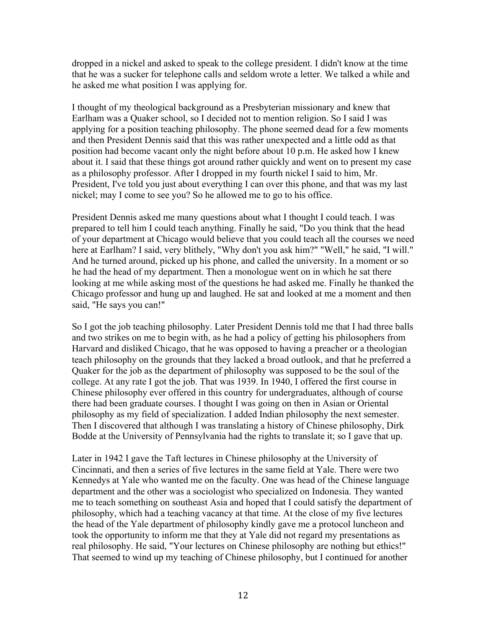dropped in a nickel and asked to speak to the college president. I didn't know at the time that he was a sucker for telephone calls and seldom wrote a letter. We talked a while and he asked me what position I was applying for.

I thought of my theological background as a Presbyterian missionary and knew that Earlham was a Quaker school, so I decided not to mention religion. So I said I was applying for a position teaching philosophy. The phone seemed dead for a few moments and then President Dennis said that this was rather unexpected and a little odd as that position had become vacant only the night before about 10 p.m. He asked how I knew about it. I said that these things got around rather quickly and went on to present my case as a philosophy professor. After I dropped in my fourth nickel I said to him, Mr. President, I've told you just about everything I can over this phone, and that was my last nickel; may I come to see you? So he allowed me to go to his office.

President Dennis asked me many questions about what I thought I could teach. I was prepared to tell him I could teach anything. Finally he said, "Do you think that the head of your department at Chicago would believe that you could teach all the courses we need here at Earlham? I said, very blithely, "Why don't you ask him?" "Well," he said, "I will." And he turned around, picked up his phone, and called the university. In a moment or so he had the head of my department. Then a monologue went on in which he sat there looking at me while asking most of the questions he had asked me. Finally he thanked the Chicago professor and hung up and laughed. He sat and looked at me a moment and then said, "He says you can!"

So I got the job teaching philosophy. Later President Dennis told me that I had three balls and two strikes on me to begin with, as he had a policy of getting his philosophers from Harvard and disliked Chicago, that he was opposed to having a preacher or a theologian teach philosophy on the grounds that they lacked a broad outlook, and that he preferred a Quaker for the job as the department of philosophy was supposed to be the soul of the college. At any rate I got the job. That was 1939. In 1940, I offered the first course in Chinese philosophy ever offered in this country for undergraduates, although of course there had been graduate courses. I thought I was going on then in Asian or Oriental philosophy as my field of specialization. I added Indian philosophy the next semester. Then I discovered that although I was translating a history of Chinese philosophy, Dirk Bodde at the University of Pennsylvania had the rights to translate it; so I gave that up.

Later in 1942 I gave the Taft lectures in Chinese philosophy at the University of Cincinnati, and then a series of five lectures in the same field at Yale. There were two Kennedys at Yale who wanted me on the faculty. One was head of the Chinese language department and the other was a sociologist who specialized on Indonesia. They wanted me to teach something on southeast Asia and hoped that I could satisfy the department of philosophy, which had a teaching vacancy at that time. At the close of my five lectures the head of the Yale department of philosophy kindly gave me a protocol luncheon and took the opportunity to inform me that they at Yale did not regard my presentations as real philosophy. He said, "Your lectures on Chinese philosophy are nothing but ethics!" That seemed to wind up my teaching of Chinese philosophy, but I continued for another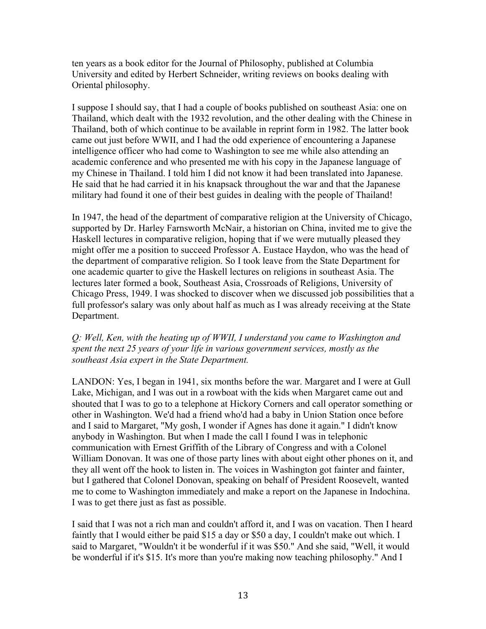ten years as a book editor for the Journal of Philosophy, published at Columbia University and edited by Herbert Schneider, writing reviews on books dealing with Oriental philosophy.

I suppose I should say, that I had a couple of books published on southeast Asia: one on Thailand, which dealt with the 1932 revolution, and the other dealing with the Chinese in Thailand, both of which continue to be available in reprint form in 1982. The latter book came out just before WWII, and I had the odd experience of encountering a Japanese intelligence officer who had come to Washington to see me while also attending an academic conference and who presented me with his copy in the Japanese language of my Chinese in Thailand. I told him I did not know it had been translated into Japanese. He said that he had carried it in his knapsack throughout the war and that the Japanese military had found it one of their best guides in dealing with the people of Thailand!

In 1947, the head of the department of comparative religion at the University of Chicago, supported by Dr. Harley Farnsworth McNair, a historian on China, invited me to give the Haskell lectures in comparative religion, hoping that if we were mutually pleased they might offer me a position to succeed Professor A. Eustace Haydon, who was the head of the department of comparative religion. So I took leave from the State Department for one academic quarter to give the Haskell lectures on religions in southeast Asia. The lectures later formed a book, Southeast Asia, Crossroads of Religions, University of Chicago Press, 1949. I was shocked to discover when we discussed job possibilities that a full professor's salary was only about half as much as I was already receiving at the State Department.

## *Q: Well, Ken, with the heating up of WWII, I understand you came to Washington and spent the next 25 years of your life in various government services, mostly as the southeast Asia expert in the State Department.*

LANDON: Yes, I began in 1941, six months before the war. Margaret and I were at Gull Lake, Michigan, and I was out in a rowboat with the kids when Margaret came out and shouted that I was to go to a telephone at Hickory Corners and call operator something or other in Washington. We'd had a friend who'd had a baby in Union Station once before and I said to Margaret, "My gosh, I wonder if Agnes has done it again." I didn't know anybody in Washington. But when I made the call I found I was in telephonic communication with Ernest Griffith of the Library of Congress and with a Colonel William Donovan. It was one of those party lines with about eight other phones on it, and they all went off the hook to listen in. The voices in Washington got fainter and fainter, but I gathered that Colonel Donovan, speaking on behalf of President Roosevelt, wanted me to come to Washington immediately and make a report on the Japanese in Indochina. I was to get there just as fast as possible.

I said that I was not a rich man and couldn't afford it, and I was on vacation. Then I heard faintly that I would either be paid \$15 a day or \$50 a day, I couldn't make out which. I said to Margaret, "Wouldn't it be wonderful if it was \$50." And she said, "Well, it would be wonderful if it's \$15. It's more than you're making now teaching philosophy." And I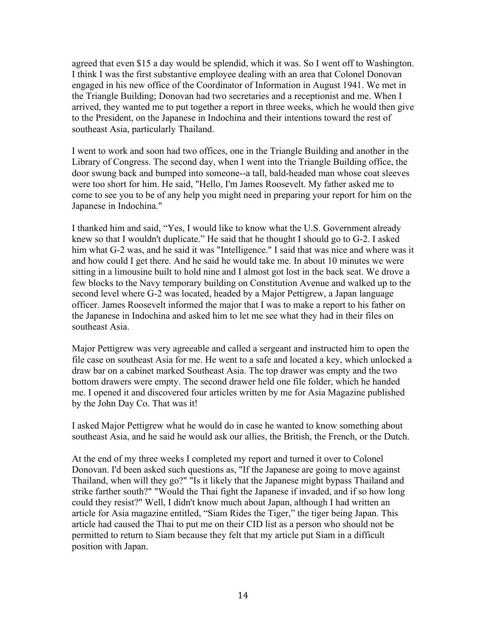agreed that even \$15 a day would be splendid, which it was. So I went off to Washington. I think I was the first substantive employee dealing with an area that Colonel Donovan engaged in his new office of the Coordinator of Information in August 1941. We met in the Triangle Building; Donovan had two secretaries and a receptionist and me. When I arrived, they wanted me to put together a report in three weeks, which he would then give to the President, on the Japanese in Indochina and their intentions toward the rest of southeast Asia, particularly Thailand.

I went to work and soon had two offices, one in the Triangle Building and another in the Library of Congress. The second day, when I went into the Triangle Building office, the door swung back and bumped into someone--a tall, bald-headed man whose coat sleeves were too short for him. He said, "Hello, I'm James Roosevelt. My father asked me to come to see you to be of any help you might need in preparing your report for him on the Japanese in Indochina."

I thanked him and said, "Yes, I would like to know what the U.S. Government already knew so that I wouldn't duplicate." He said that he thought I should go to G-2. I asked him what G-2 was, and he said it was "Intelligence." I said that was nice and where was it and how could I get there. And he said he would take me. In about 10 minutes we were sitting in a limousine built to hold nine and I almost got lost in the back seat. We drove a few blocks to the Navy temporary building on Constitution Avenue and walked up to the second level where G-2 was located, headed by a Major Pettigrew, a Japan language officer. James Roosevelt informed the major that I was to make a report to his father on the Japanese in Indochina and asked him to let me see what they had in their files on southeast Asia.

Major Pettigrew was very agreeable and called a sergeant and instructed him to open the file case on southeast Asia for me. He went to a safe and located a key, which unlocked a draw bar on a cabinet marked Southeast Asia. The top drawer was empty and the two bottom drawers were empty. The second drawer held one file folder, which he handed me. I opened it and discovered four articles written by me for Asia Magazine published by the John Day Co. That was it!

I asked Major Pettigrew what he would do in case he wanted to know something about southeast Asia, and he said he would ask our allies, the British, the French, or the Dutch.

At the end of my three weeks I completed my report and turned it over to Colonel Donovan. I'd been asked such questions as, "If the Japanese are going to move against Thailand, when will they go?" "Is it likely that the Japanese might bypass Thailand and strike farther south?" "Would the Thai fight the Japanese if invaded, and if so how long could they resist?" Well, I didn't know much about Japan, although I had written an article for Asia magazine entitled, "Siam Rides the Tiger," the tiger being Japan. This article had caused the Thai to put me on their CID list as a person who should not be permitted to return to Siam because they felt that my article put Siam in a difficult position with Japan.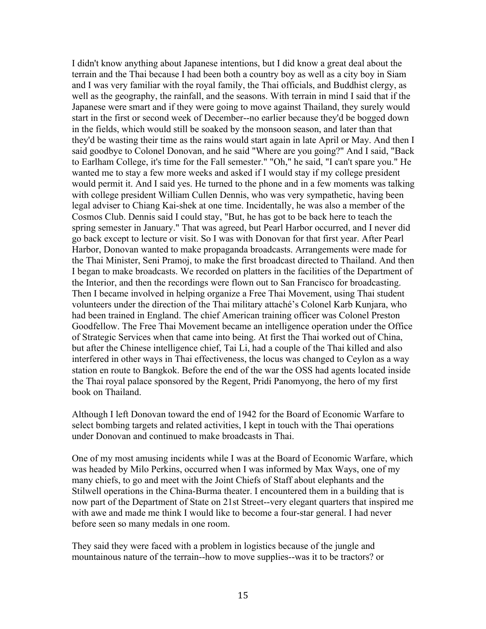I didn't know anything about Japanese intentions, but I did know a great deal about the terrain and the Thai because I had been both a country boy as well as a city boy in Siam and I was very familiar with the royal family, the Thai officials, and Buddhist clergy, as well as the geography, the rainfall, and the seasons. With terrain in mind I said that if the Japanese were smart and if they were going to move against Thailand, they surely would start in the first or second week of December--no earlier because they'd be bogged down in the fields, which would still be soaked by the monsoon season, and later than that they'd be wasting their time as the rains would start again in late April or May. And then I said goodbye to Colonel Donovan, and he said "Where are you going?" And I said, "Back to Earlham College, it's time for the Fall semester." "Oh," he said, "I can't spare you." He wanted me to stay a few more weeks and asked if I would stay if my college president would permit it. And I said yes. He turned to the phone and in a few moments was talking with college president William Cullen Dennis, who was very sympathetic, having been legal adviser to Chiang Kai-shek at one time. Incidentally, he was also a member of the Cosmos Club. Dennis said I could stay, "But, he has got to be back here to teach the spring semester in January." That was agreed, but Pearl Harbor occurred, and I never did go back except to lecture or visit. So I was with Donovan for that first year. After Pearl Harbor, Donovan wanted to make propaganda broadcasts. Arrangements were made for the Thai Minister, Seni Pramoj, to make the first broadcast directed to Thailand. And then I began to make broadcasts. We recorded on platters in the facilities of the Department of the Interior, and then the recordings were flown out to San Francisco for broadcasting. Then I became involved in helping organize a Free Thai Movement, using Thai student volunteers under the direction of the Thai military attaché's Colonel Karb Kunjara, who had been trained in England. The chief American training officer was Colonel Preston Goodfellow. The Free Thai Movement became an intelligence operation under the Office of Strategic Services when that came into being. At first the Thai worked out of China, but after the Chinese intelligence chief, Tai Li, had a couple of the Thai killed and also interfered in other ways in Thai effectiveness, the locus was changed to Ceylon as a way station en route to Bangkok. Before the end of the war the OSS had agents located inside the Thai royal palace sponsored by the Regent, Pridi Panomyong, the hero of my first book on Thailand.

Although I left Donovan toward the end of 1942 for the Board of Economic Warfare to select bombing targets and related activities, I kept in touch with the Thai operations under Donovan and continued to make broadcasts in Thai.

One of my most amusing incidents while I was at the Board of Economic Warfare, which was headed by Milo Perkins, occurred when I was informed by Max Ways, one of my many chiefs, to go and meet with the Joint Chiefs of Staff about elephants and the Stilwell operations in the China-Burma theater. I encountered them in a building that is now part of the Department of State on 21st Street--very elegant quarters that inspired me with awe and made me think I would like to become a four-star general. I had never before seen so many medals in one room.

They said they were faced with a problem in logistics because of the jungle and mountainous nature of the terrain--how to move supplies--was it to be tractors? or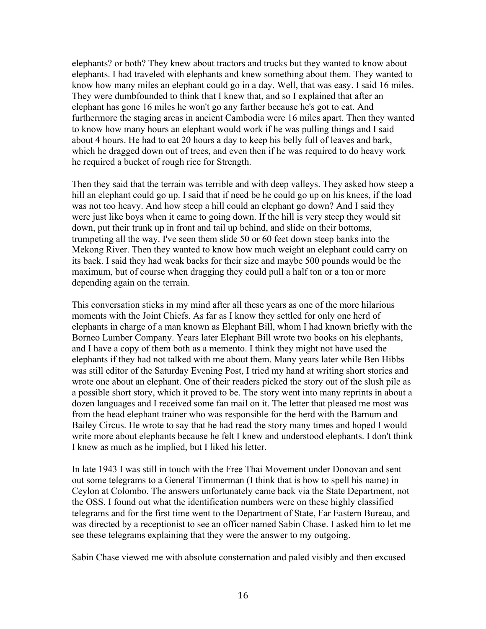elephants? or both? They knew about tractors and trucks but they wanted to know about elephants. I had traveled with elephants and knew something about them. They wanted to know how many miles an elephant could go in a day. Well, that was easy. I said 16 miles. They were dumbfounded to think that I knew that, and so I explained that after an elephant has gone 16 miles he won't go any farther because he's got to eat. And furthermore the staging areas in ancient Cambodia were 16 miles apart. Then they wanted to know how many hours an elephant would work if he was pulling things and I said about 4 hours. He had to eat 20 hours a day to keep his belly full of leaves and bark, which he dragged down out of trees, and even then if he was required to do heavy work he required a bucket of rough rice for Strength.

Then they said that the terrain was terrible and with deep valleys. They asked how steep a hill an elephant could go up. I said that if need be he could go up on his knees, if the load was not too heavy. And how steep a hill could an elephant go down? And I said they were just like boys when it came to going down. If the hill is very steep they would sit down, put their trunk up in front and tail up behind, and slide on their bottoms, trumpeting all the way. I've seen them slide 50 or 60 feet down steep banks into the Mekong River. Then they wanted to know how much weight an elephant could carry on its back. I said they had weak backs for their size and maybe 500 pounds would be the maximum, but of course when dragging they could pull a half ton or a ton or more depending again on the terrain.

This conversation sticks in my mind after all these years as one of the more hilarious moments with the Joint Chiefs. As far as I know they settled for only one herd of elephants in charge of a man known as Elephant Bill, whom I had known briefly with the Borneo Lumber Company. Years later Elephant Bill wrote two books on his elephants, and I have a copy of them both as a memento. I think they might not have used the elephants if they had not talked with me about them. Many years later while Ben Hibbs was still editor of the Saturday Evening Post, I tried my hand at writing short stories and wrote one about an elephant. One of their readers picked the story out of the slush pile as a possible short story, which it proved to be. The story went into many reprints in about a dozen languages and I received some fan mail on it. The letter that pleased me most was from the head elephant trainer who was responsible for the herd with the Barnum and Bailey Circus. He wrote to say that he had read the story many times and hoped I would write more about elephants because he felt I knew and understood elephants. I don't think I knew as much as he implied, but I liked his letter.

In late 1943 I was still in touch with the Free Thai Movement under Donovan and sent out some telegrams to a General Timmerman (I think that is how to spell his name) in Ceylon at Colombo. The answers unfortunately came back via the State Department, not the OSS. I found out what the identification numbers were on these highly classified telegrams and for the first time went to the Department of State, Far Eastern Bureau, and was directed by a receptionist to see an officer named Sabin Chase. I asked him to let me see these telegrams explaining that they were the answer to my outgoing.

Sabin Chase viewed me with absolute consternation and paled visibly and then excused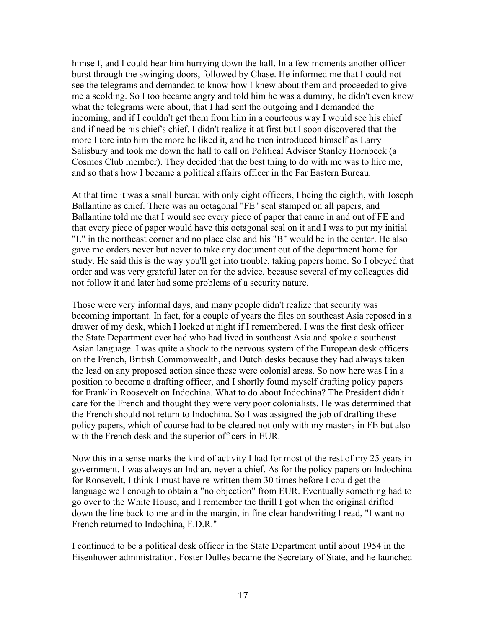himself, and I could hear him hurrying down the hall. In a few moments another officer burst through the swinging doors, followed by Chase. He informed me that I could not see the telegrams and demanded to know how I knew about them and proceeded to give me a scolding. So I too became angry and told him he was a dummy, he didn't even know what the telegrams were about, that I had sent the outgoing and I demanded the incoming, and if I couldn't get them from him in a courteous way I would see his chief and if need be his chief's chief. I didn't realize it at first but I soon discovered that the more I tore into him the more he liked it, and he then introduced himself as Larry Salisbury and took me down the hall to call on Political Adviser Stanley Hornbeck (a Cosmos Club member). They decided that the best thing to do with me was to hire me, and so that's how I became a political affairs officer in the Far Eastern Bureau.

At that time it was a small bureau with only eight officers, I being the eighth, with Joseph Ballantine as chief. There was an octagonal "FE" seal stamped on all papers, and Ballantine told me that I would see every piece of paper that came in and out of FE and that every piece of paper would have this octagonal seal on it and I was to put my initial "L" in the northeast corner and no place else and his "B" would be in the center. He also gave me orders never but never to take any document out of the department home for study. He said this is the way you'll get into trouble, taking papers home. So I obeyed that order and was very grateful later on for the advice, because several of my colleagues did not follow it and later had some problems of a security nature.

Those were very informal days, and many people didn't realize that security was becoming important. In fact, for a couple of years the files on southeast Asia reposed in a drawer of my desk, which I locked at night if I remembered. I was the first desk officer the State Department ever had who had lived in southeast Asia and spoke a southeast Asian language. I was quite a shock to the nervous system of the European desk officers on the French, British Commonwealth, and Dutch desks because they had always taken the lead on any proposed action since these were colonial areas. So now here was I in a position to become a drafting officer, and I shortly found myself drafting policy papers for Franklin Roosevelt on Indochina. What to do about Indochina? The President didn't care for the French and thought they were very poor colonialists. He was determined that the French should not return to Indochina. So I was assigned the job of drafting these policy papers, which of course had to be cleared not only with my masters in FE but also with the French desk and the superior officers in EUR.

Now this in a sense marks the kind of activity I had for most of the rest of my 25 years in government. I was always an Indian, never a chief. As for the policy papers on Indochina for Roosevelt, I think I must have re-written them 30 times before I could get the language well enough to obtain a "no objection" from EUR. Eventually something had to go over to the White House, and I remember the thrill I got when the original drifted down the line back to me and in the margin, in fine clear handwriting I read, "I want no French returned to Indochina, F.D.R."

I continued to be a political desk officer in the State Department until about 1954 in the Eisenhower administration. Foster Dulles became the Secretary of State, and he launched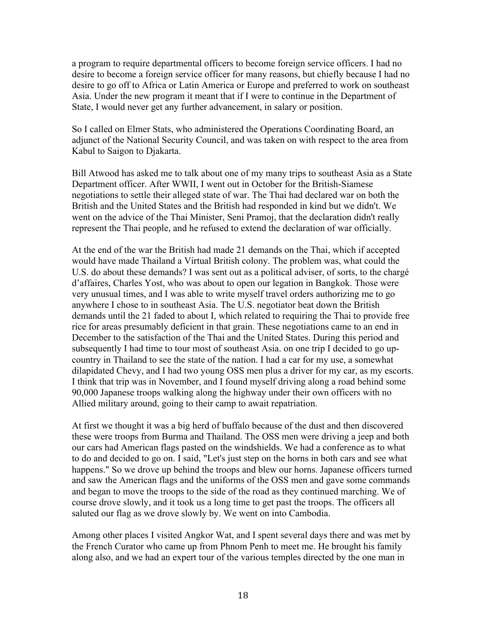a program to require departmental officers to become foreign service officers. I had no desire to become a foreign service officer for many reasons, but chiefly because I had no desire to go off to Africa or Latin America or Europe and preferred to work on southeast Asia. Under the new program it meant that if I were to continue in the Department of State, I would never get any further advancement, in salary or position.

So I called on Elmer Stats, who administered the Operations Coordinating Board, an adjunct of the National Security Council, and was taken on with respect to the area from Kabul to Saigon to Djakarta.

Bill Atwood has asked me to talk about one of my many trips to southeast Asia as a State Department officer. After WWII, I went out in October for the British-Siamese negotiations to settle their alleged state of war. The Thai had declared war on both the British and the United States and the British had responded in kind but we didn't. We went on the advice of the Thai Minister, Seni Pramoj, that the declaration didn't really represent the Thai people, and he refused to extend the declaration of war officially.

At the end of the war the British had made 21 demands on the Thai, which if accepted would have made Thailand a Virtual British colony. The problem was, what could the U.S. do about these demands? I was sent out as a political adviser, of sorts, to the chargé d'affaires, Charles Yost, who was about to open our legation in Bangkok. Those were very unusual times, and I was able to write myself travel orders authorizing me to go anywhere I chose to in southeast Asia. The U.S. negotiator beat down the British demands until the 21 faded to about I, which related to requiring the Thai to provide free rice for areas presumably deficient in that grain. These negotiations came to an end in December to the satisfaction of the Thai and the United States. During this period and subsequently I had time to tour most of southeast Asia. on one trip I decided to go upcountry in Thailand to see the state of the nation. I had a car for my use, a somewhat dilapidated Chevy, and I had two young OSS men plus a driver for my car, as my escorts. I think that trip was in November, and I found myself driving along a road behind some 90,000 Japanese troops walking along the highway under their own officers with no Allied military around, going to their camp to await repatriation.

At first we thought it was a big herd of buffalo because of the dust and then discovered these were troops from Burma and Thailand. The OSS men were driving a jeep and both our cars had American flags pasted on the windshields. We had a conference as to what to do and decided to go on. I said, "Let's just step on the horns in both cars and see what happens." So we drove up behind the troops and blew our horns. Japanese officers turned and saw the American flags and the uniforms of the OSS men and gave some commands and began to move the troops to the side of the road as they continued marching. We of course drove slowly, and it took us a long time to get past the troops. The officers all saluted our flag as we drove slowly by. We went on into Cambodia.

Among other places I visited Angkor Wat, and I spent several days there and was met by the French Curator who came up from Phnom Penh to meet me. He brought his family along also, and we had an expert tour of the various temples directed by the one man in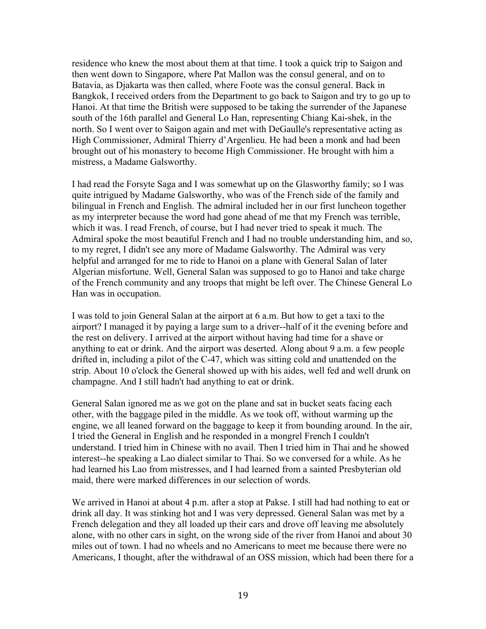residence who knew the most about them at that time. I took a quick trip to Saigon and then went down to Singapore, where Pat Mallon was the consul general, and on to Batavia, as Djakarta was then called, where Foote was the consul general. Back in Bangkok, I received orders from the Department to go back to Saigon and try to go up to Hanoi. At that time the British were supposed to be taking the surrender of the Japanese south of the 16th parallel and General Lo Han, representing Chiang Kai-shek, in the north. So I went over to Saigon again and met with DeGaulle's representative acting as High Commissioner, Admiral Thierry d'Argenlieu. He had been a monk and had been brought out of his monastery to become High Commissioner. He brought with him a mistress, a Madame Galsworthy.

I had read the Forsyte Saga and I was somewhat up on the Glasworthy family; so I was quite intrigued by Madame Galsworthy, who was of the French side of the family and bilingual in French and English. The admiral included her in our first luncheon together as my interpreter because the word had gone ahead of me that my French was terrible, which it was. I read French, of course, but I had never tried to speak it much. The Admiral spoke the most beautiful French and I had no trouble understanding him, and so, to my regret, I didn't see any more of Madame Galsworthy. The Admiral was very helpful and arranged for me to ride to Hanoi on a plane with General Salan of later Algerian misfortune. Well, General Salan was supposed to go to Hanoi and take charge of the French community and any troops that might be left over. The Chinese General Lo Han was in occupation.

I was told to join General Salan at the airport at 6 a.m. But how to get a taxi to the airport? I managed it by paying a large sum to a driver--half of it the evening before and the rest on delivery. I arrived at the airport without having had time for a shave or anything to eat or drink. And the airport was deserted. Along about 9 a.m. a few people drifted in, including a pilot of the C-47, which was sitting cold and unattended on the strip. About 10 o'clock the General showed up with his aides, well fed and well drunk on champagne. And I still hadn't had anything to eat or drink.

General Salan ignored me as we got on the plane and sat in bucket seats facing each other, with the baggage piled in the middle. As we took off, without warming up the engine, we all leaned forward on the baggage to keep it from bounding around. In the air, I tried the General in English and he responded in a mongrel French I couldn't understand. I tried him in Chinese with no avail. Then I tried him in Thai and he showed interest--he speaking a Lao dialect similar to Thai. So we conversed for a while. As he had learned his Lao from mistresses, and I had learned from a sainted Presbyterian old maid, there were marked differences in our selection of words.

We arrived in Hanoi at about 4 p.m. after a stop at Pakse. I still had had nothing to eat or drink all day. It was stinking hot and I was very depressed. General Salan was met by a French delegation and they all loaded up their cars and drove off leaving me absolutely alone, with no other cars in sight, on the wrong side of the river from Hanoi and about 30 miles out of town. I had no wheels and no Americans to meet me because there were no Americans, I thought, after the withdrawal of an OSS mission, which had been there for a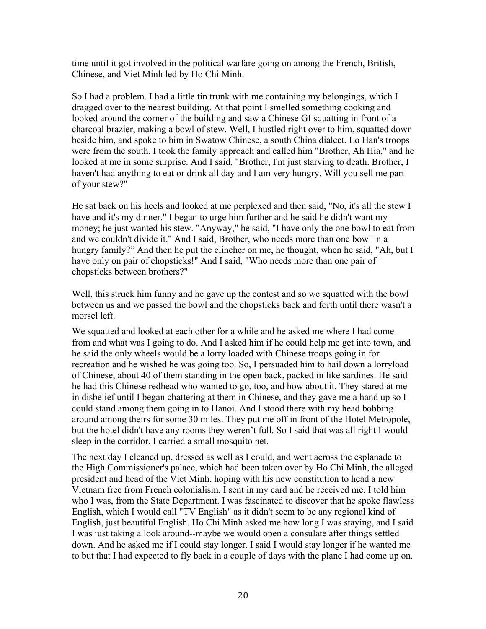time until it got involved in the political warfare going on among the French, British, Chinese, and Viet Minh led by Ho Chi Minh.

So I had a problem. I had a little tin trunk with me containing my belongings, which I dragged over to the nearest building. At that point I smelled something cooking and looked around the corner of the building and saw a Chinese GI squatting in front of a charcoal brazier, making a bowl of stew. Well, I hustled right over to him, squatted down beside him, and spoke to him in Swatow Chinese, a south China dialect. Lo Han's troops were from the south. I took the family approach and called him "Brother, Ah Hia," and he looked at me in some surprise. And I said, "Brother, I'm just starving to death. Brother, I haven't had anything to eat or drink all day and I am very hungry. Will you sell me part of your stew?"

He sat back on his heels and looked at me perplexed and then said, "No, it's all the stew I have and it's my dinner." I began to urge him further and he said he didn't want my money; he just wanted his stew. "Anyway," he said, "I have only the one bowl to eat from and we couldn't divide it." And I said, Brother, who needs more than one bowl in a hungry family?" And then he put the clincher on me, he thought, when he said, "Ah, but I have only on pair of chopsticks!" And I said, "Who needs more than one pair of chopsticks between brothers?"

Well, this struck him funny and he gave up the contest and so we squatted with the bowl between us and we passed the bowl and the chopsticks back and forth until there wasn't a morsel left.

We squatted and looked at each other for a while and he asked me where I had come from and what was I going to do. And I asked him if he could help me get into town, and he said the only wheels would be a lorry loaded with Chinese troops going in for recreation and he wished he was going too. So, I persuaded him to hail down a lorryload of Chinese, about 40 of them standing in the open back, packed in like sardines. He said he had this Chinese redhead who wanted to go, too, and how about it. They stared at me in disbelief until I began chattering at them in Chinese, and they gave me a hand up so I could stand among them going in to Hanoi. And I stood there with my head bobbing around among theirs for some 30 miles. They put me off in front of the Hotel Metropole, but the hotel didn't have any rooms they weren't full. So I said that was all right I would sleep in the corridor. I carried a small mosquito net.

The next day I cleaned up, dressed as well as I could, and went across the esplanade to the High Commissioner's palace, which had been taken over by Ho Chi Minh, the alleged president and head of the Viet Minh, hoping with his new constitution to head a new Vietnam free from French colonialism. I sent in my card and he received me. I told him who I was, from the State Department. I was fascinated to discover that he spoke flawless English, which I would call "TV English" as it didn't seem to be any regional kind of English, just beautiful English. Ho Chi Minh asked me how long I was staying, and I said I was just taking a look around--maybe we would open a consulate after things settled down. And he asked me if I could stay longer. I said I would stay longer if he wanted me to but that I had expected to fly back in a couple of days with the plane I had come up on.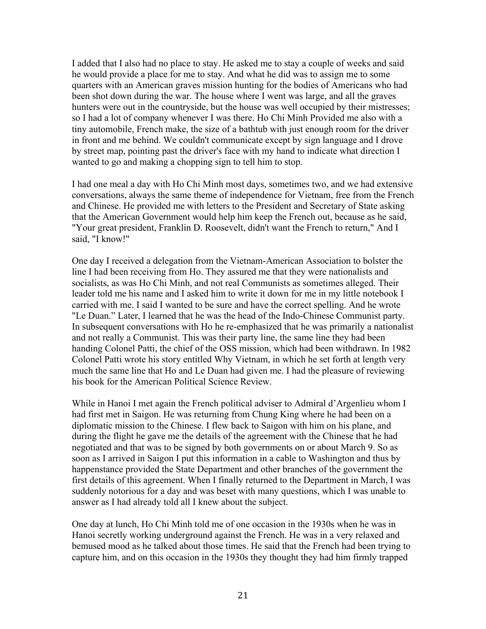I added that I also had no place to stay. He asked me to stay a couple of weeks and said he would provide a place for me to stay. And what he did was to assign me to some quarters with an American graves mission hunting for the bodies of Americans who had been shot down during the war. The house where I went was large, and all the graves hunters were out in the countryside, but the house was well occupied by their mistresses; so I had a lot of company whenever I was there. Ho Chi Minh Provided me also with a tiny automobile, French make, the size of a bathtub with just enough room for the driver in front and me behind. We couldn't communicate except by sign language and I drove by street map, pointing past the driver's face with my hand to indicate what direction I wanted to go and making a chopping sign to tell him to stop.

I had one meal a day with Ho Chi Minh most days, sometimes two, and we had extensive conversations, always the same theme of independence for Vietnam, free from the French and Chinese. He provided me with letters to the President and Secretary of State asking that the American Government would help him keep the French out, because as he said, "Your great president, Franklin D. Roosevelt, didn't want the French to return," And I said, "I know!"

One day I received a delegation from the Vietnam-American Association to bolster the line I had been receiving from Ho. They assured me that they were nationalists and socialists, as was Ho Chi Minh, and not real Communists as sometimes alleged. Their leader told me his name and I asked him to write it down for me in my little notebook I carried with me. I said I wanted to be sure and have the correct spelling. And he wrote "Le Duan." Later, I learned that he was the head of the Indo-Chinese Communist party. In subsequent conversations with Ho he re-emphasized that he was primarily a nationalist and not really a Communist. This was their party line, the same line they had been handing Colonel Patti, the chief of the OSS mission, which had been withdrawn. In 1982 Colonel Patti wrote his story entitled Why Vietnam, in which he set forth at length very much the same line that Ho and Le Duan had given me. I had the pleasure of reviewing his book for the American Political Science Review.

While in Hanoi I met again the French political adviser to Admiral d'Argenlieu whom I had first met in Saigon. He was returning from Chung King where he had been on a diplomatic mission to the Chinese. I flew back to Saigon with him on his plane, and during the flight he gave me the details of the agreement with the Chinese that he had negotiated and that was to be signed by both governments on or about March 9. So as soon as I arrived in Saigon I put this information in a cable to Washington and thus by happenstance provided the State Department and other branches of the government the first details of this agreement. When I finally returned to the Department in March, I was suddenly notorious for a day and was beset with many questions, which I was unable to answer as I had already told all I knew about the subject.

One day at lunch, Ho Chi Minh told me of one occasion in the 1930s when he was in Hanoi secretly working underground against the French. He was in a very relaxed and bemused mood as he talked about those times. He said that the French had been trying to capture him, and on this occasion in the 1930s they thought they had him firmly trapped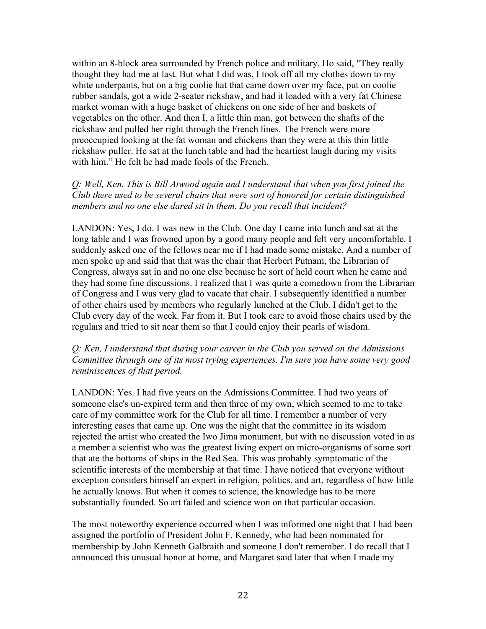within an 8-block area surrounded by French police and military. Ho said, "They really thought they had me at last. But what I did was, I took off all my clothes down to my white underpants, but on a big coolie hat that came down over my face, put on coolie rubber sandals, got a wide 2-seater rickshaw, and had it loaded with a very fat Chinese market woman with a huge basket of chickens on one side of her and baskets of vegetables on the other. And then I, a little thin man, got between the shafts of the rickshaw and pulled her right through the French lines. The French were more preoccupied looking at the fat woman and chickens than they were at this thin little rickshaw puller. He sat at the lunch table and had the heartiest laugh during my visits with him." He felt he had made fools of the French.

## *Q: Well, Ken. This is Bill Atwood again and I understand that when you first joined the Club there used to be several chairs that were sort of honored for certain distinguished members and no one else dared sit in them. Do you recall that incident?*

LANDON: Yes, I do. I was new in the Club. One day I came into lunch and sat at the long table and I was frowned upon by a good many people and felt very uncomfortable. I suddenly asked one of the fellows near me if I had made some mistake. And a number of men spoke up and said that that was the chair that Herbert Putnam, the Librarian of Congress, always sat in and no one else because he sort of held court when he came and they had some fine discussions. I realized that I was quite a comedown from the Librarian of Congress and I was very glad to vacate that chair. I subsequently identified a number of other chairs used by members who regularly lunched at the Club. I didn't get to the Club every day of the week. Far from it. But I took care to avoid those chairs used by the regulars and tried to sit near them so that I could enjoy their pearls of wisdom.

#### *Q: Ken, I understand that during your career in the Club you served on the Admissions Committee through one of its most trying experiences. I'm sure you have some very good reminiscences of that period.*

LANDON: Yes. I had five years on the Admissions Committee. I had two years of someone else's un-expired term and then three of my own, which seemed to me to take care of my committee work for the Club for all time. I remember a number of very interesting cases that came up. One was the night that the committee in its wisdom rejected the artist who created the Iwo Jima monument, but with no discussion voted in as a member a scientist who was the greatest living expert on micro-organisms of some sort that ate the bottoms of ships in the Red Sea. This was probably symptomatic of the scientific interests of the membership at that time. I have noticed that everyone without exception considers himself an expert in religion, politics, and art, regardless of how little he actually knows. But when it comes to science, the knowledge has to be more substantially founded. So art failed and science won on that particular occasion.

The most noteworthy experience occurred when I was informed one night that I had been assigned the portfolio of President John F. Kennedy, who had been nominated for membership by John Kenneth Galbraith and someone I don't remember. I do recall that I announced this unusual honor at home, and Margaret said later that when I made my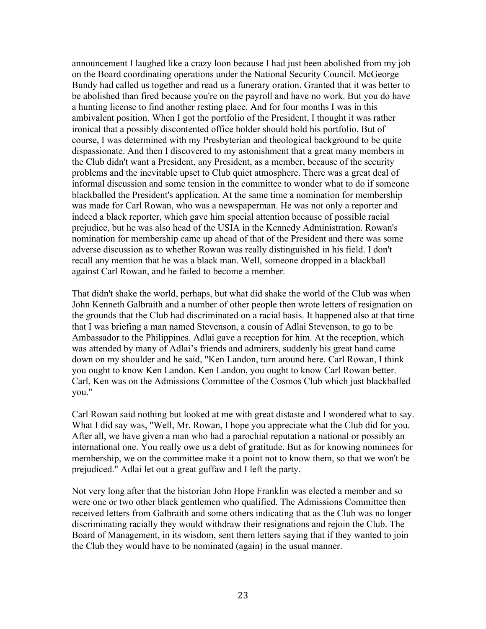announcement I laughed like a crazy loon because I had just been abolished from my job on the Board coordinating operations under the National Security Council. McGeorge Bundy had called us together and read us a funerary oration. Granted that it was better to be abolished than fired because you're on the payroll and have no work. But you do have a hunting license to find another resting place. And for four months I was in this ambivalent position. When I got the portfolio of the President, I thought it was rather ironical that a possibly discontented office holder should hold his portfolio. But of course, I was determined with my Presbyterian and theological background to be quite dispassionate. And then I discovered to my astonishment that a great many members in the Club didn't want a President, any President, as a member, because of the security problems and the inevitable upset to Club quiet atmosphere. There was a great deal of informal discussion and some tension in the committee to wonder what to do if someone blackballed the President's application. At the same time a nomination for membership was made for Carl Rowan, who was a newspaperman. He was not only a reporter and indeed a black reporter, which gave him special attention because of possible racial prejudice, but he was also head of the USIA in the Kennedy Administration. Rowan's nomination for membership came up ahead of that of the President and there was some adverse discussion as to whether Rowan was really distinguished in his field. I don't recall any mention that he was a black man. Well, someone dropped in a blackball against Carl Rowan, and he failed to become a member.

That didn't shake the world, perhaps, but what did shake the world of the Club was when John Kenneth Galbraith and a number of other people then wrote letters of resignation on the grounds that the Club had discriminated on a racial basis. It happened also at that time that I was briefing a man named Stevenson, a cousin of Adlai Stevenson, to go to be Ambassador to the Philippines. Adlai gave a reception for him. At the reception, which was attended by many of Adlai's friends and admirers, suddenly his great hand came down on my shoulder and he said, "Ken Landon, turn around here. Carl Rowan, I think you ought to know Ken Landon. Ken Landon, you ought to know Carl Rowan better. Carl, Ken was on the Admissions Committee of the Cosmos Club which just blackballed you."

Carl Rowan said nothing but looked at me with great distaste and I wondered what to say. What I did say was, "Well, Mr. Rowan, I hope you appreciate what the Club did for you. After all, we have given a man who had a parochial reputation a national or possibly an international one. You really owe us a debt of gratitude. But as for knowing nominees for membership, we on the committee make it a point not to know them, so that we won't be prejudiced." Adlai let out a great guffaw and I left the party.

Not very long after that the historian John Hope Franklin was elected a member and so were one or two other black gentlemen who qualified. The Admissions Committee then received letters from Galbraith and some others indicating that as the Club was no longer discriminating racially they would withdraw their resignations and rejoin the Club. The Board of Management, in its wisdom, sent them letters saying that if they wanted to join the Club they would have to be nominated (again) in the usual manner.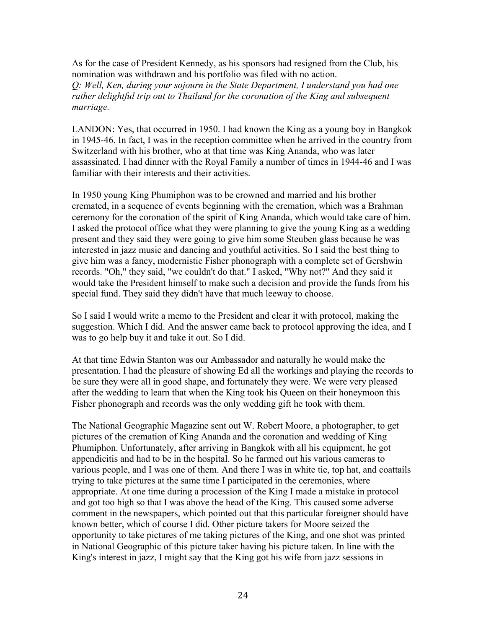As for the case of President Kennedy, as his sponsors had resigned from the Club, his nomination was withdrawn and his portfolio was filed with no action. *Q: Well, Ken, during your sojourn in the State Department, I understand you had one rather delightful trip out to Thailand for the coronation of the King and subsequent marriage.* 

LANDON: Yes, that occurred in 1950. I had known the King as a young boy in Bangkok in 1945-46. In fact, I was in the reception committee when he arrived in the country from Switzerland with his brother, who at that time was King Ananda, who was later assassinated. I had dinner with the Royal Family a number of times in 1944-46 and I was familiar with their interests and their activities.

In 1950 young King Phumiphon was to be crowned and married and his brother cremated, in a sequence of events beginning with the cremation, which was a Brahman ceremony for the coronation of the spirit of King Ananda, which would take care of him. I asked the protocol office what they were planning to give the young King as a wedding present and they said they were going to give him some Steuben glass because he was interested in jazz music and dancing and youthful activities. So I said the best thing to give him was a fancy, modernistic Fisher phonograph with a complete set of Gershwin records. "Oh," they said, "we couldn't do that." I asked, "Why not?" And they said it would take the President himself to make such a decision and provide the funds from his special fund. They said they didn't have that much leeway to choose.

So I said I would write a memo to the President and clear it with protocol, making the suggestion. Which I did. And the answer came back to protocol approving the idea, and I was to go help buy it and take it out. So I did.

At that time Edwin Stanton was our Ambassador and naturally he would make the presentation. I had the pleasure of showing Ed all the workings and playing the records to be sure they were all in good shape, and fortunately they were. We were very pleased after the wedding to learn that when the King took his Queen on their honeymoon this Fisher phonograph and records was the only wedding gift he took with them.

The National Geographic Magazine sent out W. Robert Moore, a photographer, to get pictures of the cremation of King Ananda and the coronation and wedding of King Phumiphon. Unfortunately, after arriving in Bangkok with all his equipment, he got appendicitis and had to be in the hospital. So he farmed out his various cameras to various people, and I was one of them. And there I was in white tie, top hat, and coattails trying to take pictures at the same time I participated in the ceremonies, where appropriate. At one time during a procession of the King I made a mistake in protocol and got too high so that I was above the head of the King. This caused some adverse comment in the newspapers, which pointed out that this particular foreigner should have known better, which of course I did. Other picture takers for Moore seized the opportunity to take pictures of me taking pictures of the King, and one shot was printed in National Geographic of this picture taker having his picture taken. In line with the King's interest in jazz, I might say that the King got his wife from jazz sessions in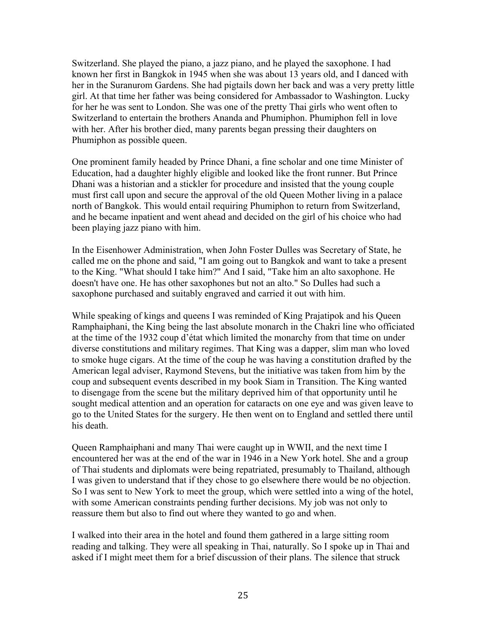Switzerland. She played the piano, a jazz piano, and he played the saxophone. I had known her first in Bangkok in 1945 when she was about 13 years old, and I danced with her in the Suranurom Gardens. She had pigtails down her back and was a very pretty little girl. At that time her father was being considered for Ambassador to Washington. Lucky for her he was sent to London. She was one of the pretty Thai girls who went often to Switzerland to entertain the brothers Ananda and Phumiphon. Phumiphon fell in love with her. After his brother died, many parents began pressing their daughters on Phumiphon as possible queen.

One prominent family headed by Prince Dhani, a fine scholar and one time Minister of Education, had a daughter highly eligible and looked like the front runner. But Prince Dhani was a historian and a stickler for procedure and insisted that the young couple must first call upon and secure the approval of the old Queen Mother living in a palace north of Bangkok. This would entail requiring Phumiphon to return from Switzerland, and he became inpatient and went ahead and decided on the girl of his choice who had been playing jazz piano with him.

In the Eisenhower Administration, when John Foster Dulles was Secretary of State, he called me on the phone and said, "I am going out to Bangkok and want to take a present to the King. "What should I take him?" And I said, "Take him an alto saxophone. He doesn't have one. He has other saxophones but not an alto." So Dulles had such a saxophone purchased and suitably engraved and carried it out with him.

While speaking of kings and queens I was reminded of King Prajatipok and his Queen Ramphaiphani, the King being the last absolute monarch in the Chakri line who officiated at the time of the 1932 coup d'état which limited the monarchy from that time on under diverse constitutions and military regimes. That King was a dapper, slim man who loved to smoke huge cigars. At the time of the coup he was having a constitution drafted by the American legal adviser, Raymond Stevens, but the initiative was taken from him by the coup and subsequent events described in my book Siam in Transition. The King wanted to disengage from the scene but the military deprived him of that opportunity until he sought medical attention and an operation for cataracts on one eye and was given leave to go to the United States for the surgery. He then went on to England and settled there until his death.

Queen Ramphaiphani and many Thai were caught up in WWII, and the next time I encountered her was at the end of the war in 1946 in a New York hotel. She and a group of Thai students and diplomats were being repatriated, presumably to Thailand, although I was given to understand that if they chose to go elsewhere there would be no objection. So I was sent to New York to meet the group, which were settled into a wing of the hotel, with some American constraints pending further decisions. My job was not only to reassure them but also to find out where they wanted to go and when.

I walked into their area in the hotel and found them gathered in a large sitting room reading and talking. They were all speaking in Thai, naturally. So I spoke up in Thai and asked if I might meet them for a brief discussion of their plans. The silence that struck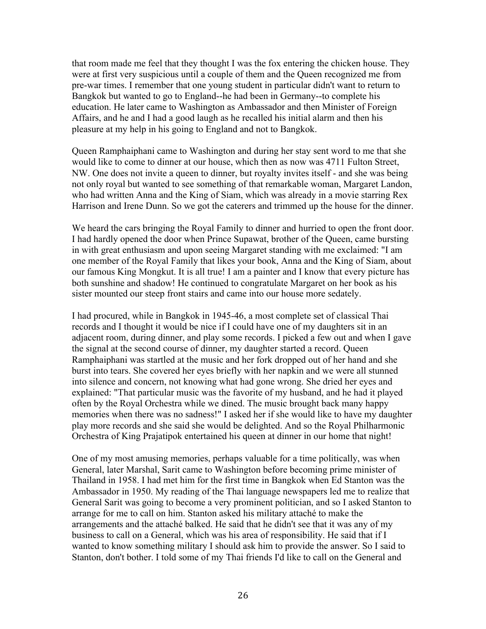that room made me feel that they thought I was the fox entering the chicken house. They were at first very suspicious until a couple of them and the Queen recognized me from pre-war times. I remember that one young student in particular didn't want to return to Bangkok but wanted to go to England--he had been in Germany--to complete his education. He later came to Washington as Ambassador and then Minister of Foreign Affairs, and he and I had a good laugh as he recalled his initial alarm and then his pleasure at my help in his going to England and not to Bangkok.

Queen Ramphaiphani came to Washington and during her stay sent word to me that she would like to come to dinner at our house, which then as now was 4711 Fulton Street, NW. One does not invite a queen to dinner, but royalty invites itself - and she was being not only royal but wanted to see something of that remarkable woman, Margaret Landon, who had written Anna and the King of Siam, which was already in a movie starring Rex Harrison and Irene Dunn. So we got the caterers and trimmed up the house for the dinner.

We heard the cars bringing the Royal Family to dinner and hurried to open the front door. I had hardly opened the door when Prince Supawat, brother of the Queen, came bursting in with great enthusiasm and upon seeing Margaret standing with me exclaimed: "I am one member of the Royal Family that likes your book, Anna and the King of Siam, about our famous King Mongkut. It is all true! I am a painter and I know that every picture has both sunshine and shadow! He continued to congratulate Margaret on her book as his sister mounted our steep front stairs and came into our house more sedately.

I had procured, while in Bangkok in 1945-46, a most complete set of classical Thai records and I thought it would be nice if I could have one of my daughters sit in an adjacent room, during dinner, and play some records. I picked a few out and when I gave the signal at the second course of dinner, my daughter started a record. Queen Ramphaiphani was startled at the music and her fork dropped out of her hand and she burst into tears. She covered her eyes briefly with her napkin and we were all stunned into silence and concern, not knowing what had gone wrong. She dried her eyes and explained: "That particular music was the favorite of my husband, and he had it played often by the Royal Orchestra while we dined. The music brought back many happy memories when there was no sadness!" I asked her if she would like to have my daughter play more records and she said she would be delighted. And so the Royal Philharmonic Orchestra of King Prajatipok entertained his queen at dinner in our home that night!

One of my most amusing memories, perhaps valuable for a time politically, was when General, later Marshal, Sarit came to Washington before becoming prime minister of Thailand in 1958. I had met him for the first time in Bangkok when Ed Stanton was the Ambassador in 1950. My reading of the Thai language newspapers led me to realize that General Sarit was going to become a very prominent politician, and so I asked Stanton to arrange for me to call on him. Stanton asked his military attaché to make the arrangements and the attaché balked. He said that he didn't see that it was any of my business to call on a General, which was his area of responsibility. He said that if I wanted to know something military I should ask him to provide the answer. So I said to Stanton, don't bother. I told some of my Thai friends I'd like to call on the General and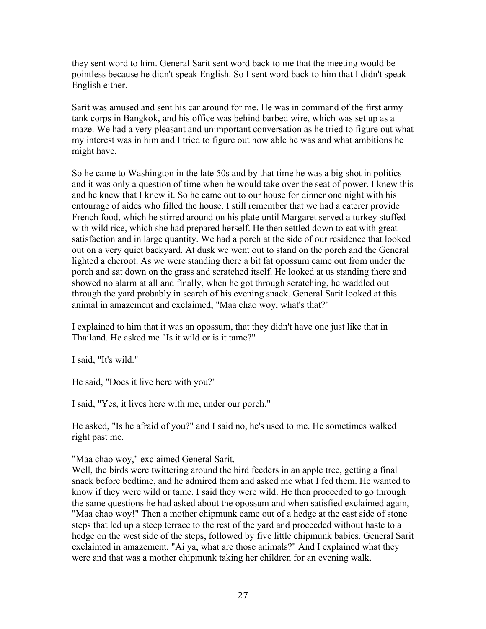they sent word to him. General Sarit sent word back to me that the meeting would be pointless because he didn't speak English. So I sent word back to him that I didn't speak English either.

Sarit was amused and sent his car around for me. He was in command of the first army tank corps in Bangkok, and his office was behind barbed wire, which was set up as a maze. We had a very pleasant and unimportant conversation as he tried to figure out what my interest was in him and I tried to figure out how able he was and what ambitions he might have.

So he came to Washington in the late 50s and by that time he was a big shot in politics and it was only a question of time when he would take over the seat of power. I knew this and he knew that I knew it. So he came out to our house for dinner one night with his entourage of aides who filled the house. I still remember that we had a caterer provide French food, which he stirred around on his plate until Margaret served a turkey stuffed with wild rice, which she had prepared herself. He then settled down to eat with great satisfaction and in large quantity. We had a porch at the side of our residence that looked out on a very quiet backyard. At dusk we went out to stand on the porch and the General lighted a cheroot. As we were standing there a bit fat opossum came out from under the porch and sat down on the grass and scratched itself. He looked at us standing there and showed no alarm at all and finally, when he got through scratching, he waddled out through the yard probably in search of his evening snack. General Sarit looked at this animal in amazement and exclaimed, "Maa chao woy, what's that?"

I explained to him that it was an opossum, that they didn't have one just like that in Thailand. He asked me "Is it wild or is it tame?"

I said, "It's wild."

He said, "Does it live here with you?"

I said, "Yes, it lives here with me, under our porch."

He asked, "Is he afraid of you?" and I said no, he's used to me. He sometimes walked right past me.

"Maa chao woy," exclaimed General Sarit.

Well, the birds were twittering around the bird feeders in an apple tree, getting a final snack before bedtime, and he admired them and asked me what I fed them. He wanted to know if they were wild or tame. I said they were wild. He then proceeded to go through the same questions he had asked about the opossum and when satisfied exclaimed again, "Maa chao woy!" Then a mother chipmunk came out of a hedge at the east side of stone steps that led up a steep terrace to the rest of the yard and proceeded without haste to a hedge on the west side of the steps, followed by five little chipmunk babies. General Sarit exclaimed in amazement, "Ai ya, what are those animals?" And I explained what they were and that was a mother chipmunk taking her children for an evening walk.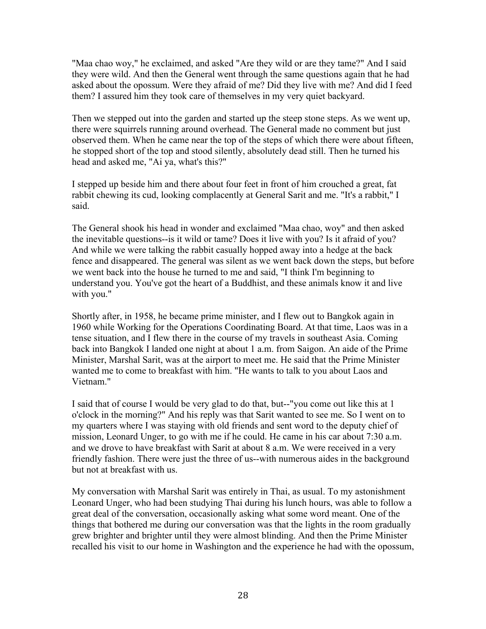"Maa chao woy," he exclaimed, and asked "Are they wild or are they tame?" And I said they were wild. And then the General went through the same questions again that he had asked about the opossum. Were they afraid of me? Did they live with me? And did I feed them? I assured him they took care of themselves in my very quiet backyard.

Then we stepped out into the garden and started up the steep stone steps. As we went up, there were squirrels running around overhead. The General made no comment but just observed them. When he came near the top of the steps of which there were about fifteen, he stopped short of the top and stood silently, absolutely dead still. Then he turned his head and asked me, "Ai ya, what's this?"

I stepped up beside him and there about four feet in front of him crouched a great, fat rabbit chewing its cud, looking complacently at General Sarit and me. "It's a rabbit," I said.

The General shook his head in wonder and exclaimed "Maa chao, woy" and then asked the inevitable questions--is it wild or tame? Does it live with you? Is it afraid of you? And while we were talking the rabbit casually hopped away into a hedge at the back fence and disappeared. The general was silent as we went back down the steps, but before we went back into the house he turned to me and said, "I think I'm beginning to understand you. You've got the heart of a Buddhist, and these animals know it and live with you."

Shortly after, in 1958, he became prime minister, and I flew out to Bangkok again in 1960 while Working for the Operations Coordinating Board. At that time, Laos was in a tense situation, and I flew there in the course of my travels in southeast Asia. Coming back into Bangkok I landed one night at about 1 a.m. from Saigon. An aide of the Prime Minister, Marshal Sarit, was at the airport to meet me. He said that the Prime Minister wanted me to come to breakfast with him. "He wants to talk to you about Laos and Vietnam<sup>"</sup>

I said that of course I would be very glad to do that, but--"you come out like this at 1 o'clock in the morning?" And his reply was that Sarit wanted to see me. So I went on to my quarters where I was staying with old friends and sent word to the deputy chief of mission, Leonard Unger, to go with me if he could. He came in his car about 7:30 a.m. and we drove to have breakfast with Sarit at about 8 a.m. We were received in a very friendly fashion. There were just the three of us--with numerous aides in the background but not at breakfast with us.

My conversation with Marshal Sarit was entirely in Thai, as usual. To my astonishment Leonard Unger, who had been studying Thai during his lunch hours, was able to follow a great deal of the conversation, occasionally asking what some word meant. One of the things that bothered me during our conversation was that the lights in the room gradually grew brighter and brighter until they were almost blinding. And then the Prime Minister recalled his visit to our home in Washington and the experience he had with the opossum,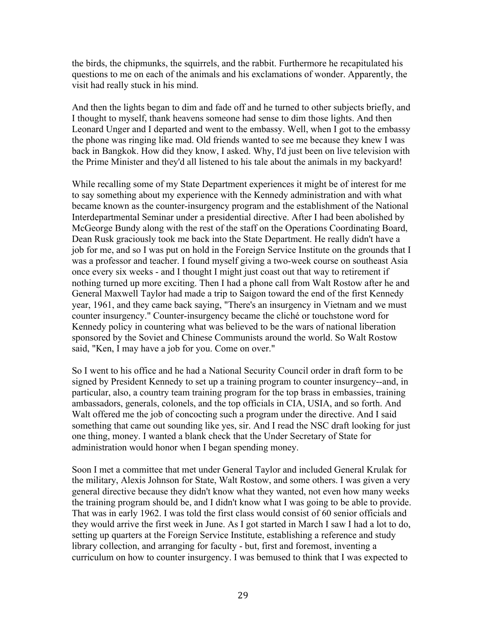the birds, the chipmunks, the squirrels, and the rabbit. Furthermore he recapitulated his questions to me on each of the animals and his exclamations of wonder. Apparently, the visit had really stuck in his mind.

And then the lights began to dim and fade off and he turned to other subjects briefly, and I thought to myself, thank heavens someone had sense to dim those lights. And then Leonard Unger and I departed and went to the embassy. Well, when I got to the embassy the phone was ringing like mad. Old friends wanted to see me because they knew I was back in Bangkok. How did they know, I asked. Why, I'd just been on live television with the Prime Minister and they'd all listened to his tale about the animals in my backyard!

While recalling some of my State Department experiences it might be of interest for me to say something about my experience with the Kennedy administration and with what became known as the counter-insurgency program and the establishment of the National Interdepartmental Seminar under a presidential directive. After I had been abolished by McGeorge Bundy along with the rest of the staff on the Operations Coordinating Board, Dean Rusk graciously took me back into the State Department. He really didn't have a job for me, and so I was put on hold in the Foreign Service Institute on the grounds that I was a professor and teacher. I found myself giving a two-week course on southeast Asia once every six weeks - and I thought I might just coast out that way to retirement if nothing turned up more exciting. Then I had a phone call from Walt Rostow after he and General Maxwell Taylor had made a trip to Saigon toward the end of the first Kennedy year, 1961, and they came back saying, "There's an insurgency in Vietnam and we must counter insurgency." Counter-insurgency became the cliché or touchstone word for Kennedy policy in countering what was believed to be the wars of national liberation sponsored by the Soviet and Chinese Communists around the world. So Walt Rostow said, "Ken, I may have a job for you. Come on over."

So I went to his office and he had a National Security Council order in draft form to be signed by President Kennedy to set up a training program to counter insurgency--and, in particular, also, a country team training program for the top brass in embassies, training ambassadors, generals, colonels, and the top officials in CIA, USIA, and so forth. And Walt offered me the job of concocting such a program under the directive. And I said something that came out sounding like yes, sir. And I read the NSC draft looking for just one thing, money. I wanted a blank check that the Under Secretary of State for administration would honor when I began spending money.

Soon I met a committee that met under General Taylor and included General Krulak for the military, Alexis Johnson for State, Walt Rostow, and some others. I was given a very general directive because they didn't know what they wanted, not even how many weeks the training program should be, and I didn't know what I was going to be able to provide. That was in early 1962. I was told the first class would consist of 60 senior officials and they would arrive the first week in June. As I got started in March I saw I had a lot to do, setting up quarters at the Foreign Service Institute, establishing a reference and study library collection, and arranging for faculty - but, first and foremost, inventing a curriculum on how to counter insurgency. I was bemused to think that I was expected to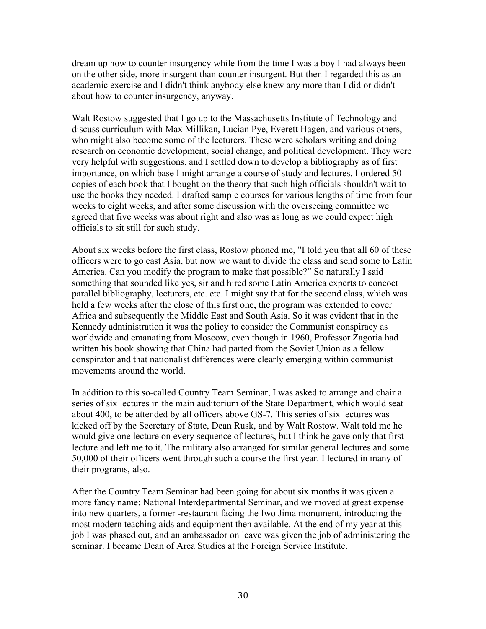dream up how to counter insurgency while from the time I was a boy I had always been on the other side, more insurgent than counter insurgent. But then I regarded this as an academic exercise and I didn't think anybody else knew any more than I did or didn't about how to counter insurgency, anyway.

Walt Rostow suggested that I go up to the Massachusetts Institute of Technology and discuss curriculum with Max Millikan, Lucian Pye, Everett Hagen, and various others, who might also become some of the lecturers. These were scholars writing and doing research on economic development, social change, and political development. They were very helpful with suggestions, and I settled down to develop a bibliography as of first importance, on which base I might arrange a course of study and lectures. I ordered 50 copies of each book that I bought on the theory that such high officials shouldn't wait to use the books they needed. I drafted sample courses for various lengths of time from four weeks to eight weeks, and after some discussion with the overseeing committee we agreed that five weeks was about right and also was as long as we could expect high officials to sit still for such study.

About six weeks before the first class, Rostow phoned me, "I told you that all 60 of these officers were to go east Asia, but now we want to divide the class and send some to Latin America. Can you modify the program to make that possible?" So naturally I said something that sounded like yes, sir and hired some Latin America experts to concoct parallel bibliography, lecturers, etc. etc. I might say that for the second class, which was held a few weeks after the close of this first one, the program was extended to cover Africa and subsequently the Middle East and South Asia. So it was evident that in the Kennedy administration it was the policy to consider the Communist conspiracy as worldwide and emanating from Moscow, even though in 1960, Professor Zagoria had written his book showing that China had parted from the Soviet Union as a fellow conspirator and that nationalist differences were clearly emerging within communist movements around the world.

In addition to this so-called Country Team Seminar, I was asked to arrange and chair a series of six lectures in the main auditorium of the State Department, which would seat about 400, to be attended by all officers above GS-7. This series of six lectures was kicked off by the Secretary of State, Dean Rusk, and by Walt Rostow. Walt told me he would give one lecture on every sequence of lectures, but I think he gave only that first lecture and left me to it. The military also arranged for similar general lectures and some 50,000 of their officers went through such a course the first year. I lectured in many of their programs, also.

After the Country Team Seminar had been going for about six months it was given a more fancy name: National Interdepartmental Seminar, and we moved at great expense into new quarters, a former -restaurant facing the Iwo Jima monument, introducing the most modern teaching aids and equipment then available. At the end of my year at this job I was phased out, and an ambassador on leave was given the job of administering the seminar. I became Dean of Area Studies at the Foreign Service Institute.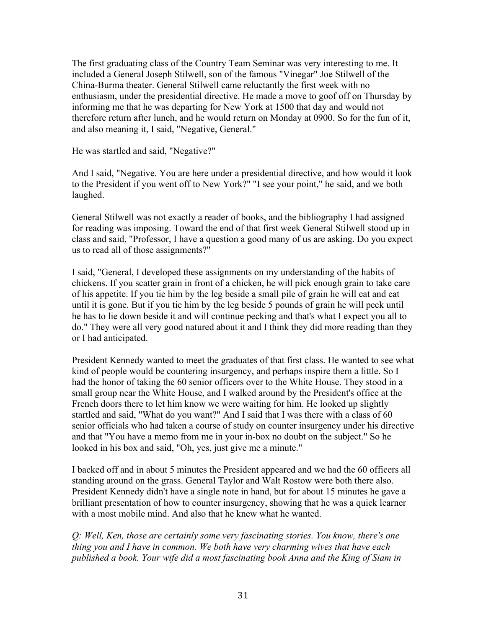The first graduating class of the Country Team Seminar was very interesting to me. It included a General Joseph Stilwell, son of the famous "Vinegar" Joe Stilwell of the China-Burma theater. General Stilwell came reluctantly the first week with no enthusiasm, under the presidential directive. He made a move to goof off on Thursday by informing me that he was departing for New York at 1500 that day and would not therefore return after lunch, and he would return on Monday at 0900. So for the fun of it, and also meaning it, I said, "Negative, General."

He was startled and said, "Negative?"

And I said, "Negative. You are here under a presidential directive, and how would it look to the President if you went off to New York?" "I see your point," he said, and we both laughed.

General Stilwell was not exactly a reader of books, and the bibliography I had assigned for reading was imposing. Toward the end of that first week General Stilwell stood up in class and said, "Professor, I have a question a good many of us are asking. Do you expect us to read all of those assignments?"

I said, "General, I developed these assignments on my understanding of the habits of chickens. If you scatter grain in front of a chicken, he will pick enough grain to take care of his appetite. If you tie him by the leg beside a small pile of grain he will eat and eat until it is gone. But if you tie him by the leg beside 5 pounds of grain he will peck until he has to lie down beside it and will continue pecking and that's what I expect you all to do." They were all very good natured about it and I think they did more reading than they or I had anticipated.

President Kennedy wanted to meet the graduates of that first class. He wanted to see what kind of people would be countering insurgency, and perhaps inspire them a little. So I had the honor of taking the 60 senior officers over to the White House. They stood in a small group near the White House, and I walked around by the President's office at the French doors there to let him know we were waiting for him. He looked up slightly startled and said, "What do you want?" And I said that I was there with a class of 60 senior officials who had taken a course of study on counter insurgency under his directive and that "You have a memo from me in your in-box no doubt on the subject." So he looked in his box and said, "Oh, yes, just give me a minute."

I backed off and in about 5 minutes the President appeared and we had the 60 officers all standing around on the grass. General Taylor and Walt Rostow were both there also. President Kennedy didn't have a single note in hand, but for about 15 minutes he gave a brilliant presentation of how to counter insurgency, showing that he was a quick learner with a most mobile mind. And also that he knew what he wanted.

*Q: Well, Ken, those are certainly some very fascinating stories. You know, there's one thing you and I have in common. We both have very charming wives that have each published a book. Your wife did a most fascinating book Anna and the King of Siam in*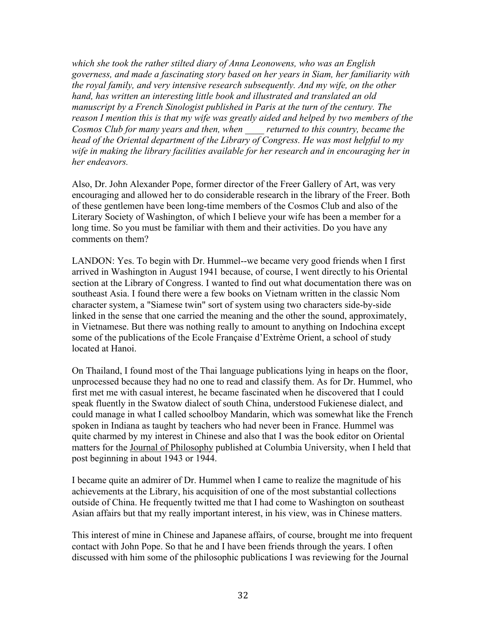*which she took the rather stilted diary of Anna Leonowens, who was an English governess, and made a fascinating story based on her years in Siam, her familiarity with the royal family, and very intensive research subsequently. And my wife, on the other hand, has written an interesting little book and illustrated and translated an old manuscript by a French Sinologist published in Paris at the turn of the century. The reason I mention this is that my wife was greatly aided and helped by two members of the Cosmos Club for many years and then, when \_\_\_\_ returned to this country, became the head of the Oriental department of the Library of Congress. He was most helpful to my wife in making the library facilities available for her research and in encouraging her in her endeavors.* 

Also, Dr. John Alexander Pope, former director of the Freer Gallery of Art, was very encouraging and allowed her to do considerable research in the library of the Freer. Both of these gentlemen have been long-time members of the Cosmos Club and also of the Literary Society of Washington, of which I believe your wife has been a member for a long time. So you must be familiar with them and their activities. Do you have any comments on them?

LANDON: Yes. To begin with Dr. Hummel--we became very good friends when I first arrived in Washington in August 1941 because, of course, I went directly to his Oriental section at the Library of Congress. I wanted to find out what documentation there was on southeast Asia. I found there were a few books on Vietnam written in the classic Nom character system, a "Siamese twin" sort of system using two characters side-by-side linked in the sense that one carried the meaning and the other the sound, approximately, in Vietnamese. But there was nothing really to amount to anything on Indochina except some of the publications of the Ecole Française d'Extrème Orient, a school of study located at Hanoi.

On Thailand, I found most of the Thai language publications lying in heaps on the floor, unprocessed because they had no one to read and classify them. As for Dr. Hummel, who first met me with casual interest, he became fascinated when he discovered that I could speak fluently in the Swatow dialect of south China, understood Fukienese dialect, and could manage in what I called schoolboy Mandarin, which was somewhat like the French spoken in Indiana as taught by teachers who had never been in France. Hummel was quite charmed by my interest in Chinese and also that I was the book editor on Oriental matters for the Journal of Philosophy published at Columbia University, when I held that post beginning in about 1943 or 1944.

I became quite an admirer of Dr. Hummel when I came to realize the magnitude of his achievements at the Library, his acquisition of one of the most substantial collections outside of China. He frequently twitted me that I had come to Washington on southeast Asian affairs but that my really important interest, in his view, was in Chinese matters.

This interest of mine in Chinese and Japanese affairs, of course, brought me into frequent contact with John Pope. So that he and I have been friends through the years. I often discussed with him some of the philosophic publications I was reviewing for the Journal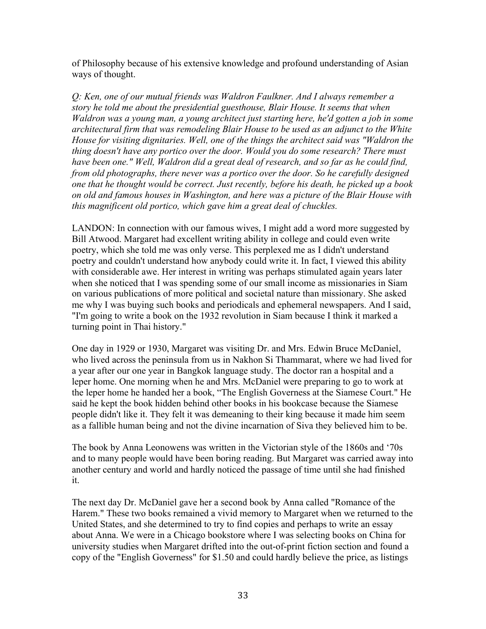of Philosophy because of his extensive knowledge and profound understanding of Asian ways of thought.

*Q: Ken, one of our mutual friends was Waldron Faulkner. And I always remember a story he told me about the presidential guesthouse, Blair House. It seems that when Waldron was a young man, a young architect just starting here, he'd gotten a job in some architectural firm that was remodeling Blair House to be used as an adjunct to the White House for visiting dignitaries. Well, one of the things the architect said was "Waldron the thing doesn't have any portico over the door. Would you do some research? There must have been one." Well, Waldron did a great deal of research, and so far as he could find, from old photographs, there never was a portico over the door. So he carefully designed one that he thought would be correct. Just recently, before his death, he picked up a book on old and famous houses in Washington, and here was a picture of the Blair House with this magnificent old portico, which gave him a great deal of chuckles.* 

LANDON: In connection with our famous wives, I might add a word more suggested by Bill Atwood. Margaret had excellent writing ability in college and could even write poetry, which she told me was only verse. This perplexed me as I didn't understand poetry and couldn't understand how anybody could write it. In fact, I viewed this ability with considerable awe. Her interest in writing was perhaps stimulated again years later when she noticed that I was spending some of our small income as missionaries in Siam on various publications of more political and societal nature than missionary. She asked me why I was buying such books and periodicals and ephemeral newspapers. And I said, "I'm going to write a book on the 1932 revolution in Siam because I think it marked a turning point in Thai history."

One day in 1929 or 1930, Margaret was visiting Dr. and Mrs. Edwin Bruce McDaniel, who lived across the peninsula from us in Nakhon Si Thammarat, where we had lived for a year after our one year in Bangkok language study. The doctor ran a hospital and a leper home. One morning when he and Mrs. McDaniel were preparing to go to work at the leper home he handed her a book, "The English Governess at the Siamese Court." He said he kept the book hidden behind other books in his bookcase because the Siamese people didn't like it. They felt it was demeaning to their king because it made him seem as a fallible human being and not the divine incarnation of Siva they believed him to be.

The book by Anna Leonowens was written in the Victorian style of the 1860s and '70s and to many people would have been boring reading. But Margaret was carried away into another century and world and hardly noticed the passage of time until she had finished it.

The next day Dr. McDaniel gave her a second book by Anna called "Romance of the Harem." These two books remained a vivid memory to Margaret when we returned to the United States, and she determined to try to find copies and perhaps to write an essay about Anna. We were in a Chicago bookstore where I was selecting books on China for university studies when Margaret drifted into the out-of-print fiction section and found a copy of the "English Governess" for \$1.50 and could hardly believe the price, as listings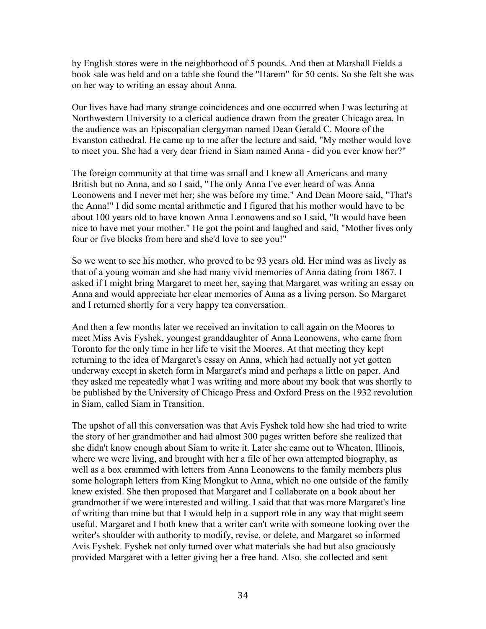by English stores were in the neighborhood of 5 pounds. And then at Marshall Fields a book sale was held and on a table she found the "Harem" for 50 cents. So she felt she was on her way to writing an essay about Anna.

Our lives have had many strange coincidences and one occurred when I was lecturing at Northwestern University to a clerical audience drawn from the greater Chicago area. In the audience was an Episcopalian clergyman named Dean Gerald C. Moore of the Evanston cathedral. He came up to me after the lecture and said, "My mother would love to meet you. She had a very dear friend in Siam named Anna - did you ever know her?"

The foreign community at that time was small and I knew all Americans and many British but no Anna, and so I said, "The only Anna I've ever heard of was Anna Leonowens and I never met her; she was before my time." And Dean Moore said, "That's the Anna!" I did some mental arithmetic and I figured that his mother would have to be about 100 years old to have known Anna Leonowens and so I said, "It would have been nice to have met your mother." He got the point and laughed and said, "Mother lives only four or five blocks from here and she'd love to see you!"

So we went to see his mother, who proved to be 93 years old. Her mind was as lively as that of a young woman and she had many vivid memories of Anna dating from 1867. I asked if I might bring Margaret to meet her, saying that Margaret was writing an essay on Anna and would appreciate her clear memories of Anna as a living person. So Margaret and I returned shortly for a very happy tea conversation.

And then a few months later we received an invitation to call again on the Moores to meet Miss Avis Fyshek, youngest granddaughter of Anna Leonowens, who came from Toronto for the only time in her life to visit the Moores. At that meeting they kept returning to the idea of Margaret's essay on Anna, which had actually not yet gotten underway except in sketch form in Margaret's mind and perhaps a little on paper. And they asked me repeatedly what I was writing and more about my book that was shortly to be published by the University of Chicago Press and Oxford Press on the 1932 revolution in Siam, called Siam in Transition.

The upshot of all this conversation was that Avis Fyshek told how she had tried to write the story of her grandmother and had almost 300 pages written before she realized that she didn't know enough about Siam to write it. Later she came out to Wheaton, Illinois, where we were living, and brought with her a file of her own attempted biography, as well as a box crammed with letters from Anna Leonowens to the family members plus some holograph letters from King Mongkut to Anna, which no one outside of the family knew existed. She then proposed that Margaret and I collaborate on a book about her grandmother if we were interested and willing. I said that that was more Margaret's line of writing than mine but that I would help in a support role in any way that might seem useful. Margaret and I both knew that a writer can't write with someone looking over the writer's shoulder with authority to modify, revise, or delete, and Margaret so informed Avis Fyshek. Fyshek not only turned over what materials she had but also graciously provided Margaret with a letter giving her a free hand. Also, she collected and sent